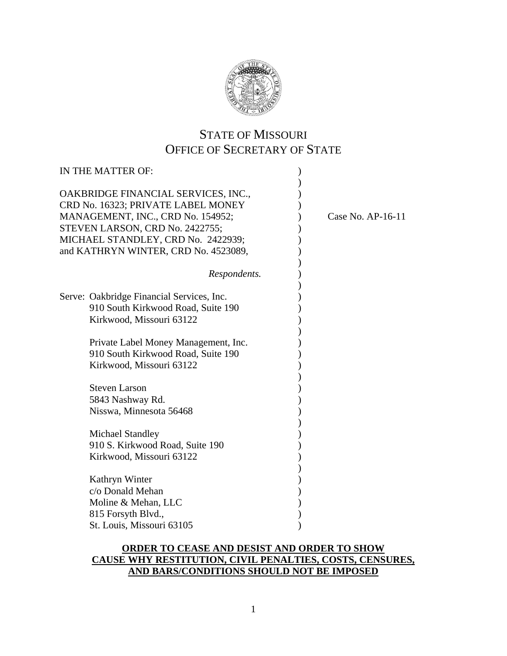

## STATE OF MISSOURI OFFICE OF SECRETARY OF STATE

| IN THE MATTER OF:                                                                                                                                                                                                               |                     |
|---------------------------------------------------------------------------------------------------------------------------------------------------------------------------------------------------------------------------------|---------------------|
| OAKBRIDGE FINANCIAL SERVICES, INC.,<br>CRD No. 16323; PRIVATE LABEL MONEY<br>MANAGEMENT, INC., CRD No. 154952;<br>STEVEN LARSON, CRD No. 2422755;<br>MICHAEL STANDLEY, CRD No. 2422939;<br>and KATHRYN WINTER, CRD No. 4523089, | Case No. $AP-16-11$ |
| Respondents.                                                                                                                                                                                                                    |                     |
| Serve: Oakbridge Financial Services, Inc.<br>910 South Kirkwood Road, Suite 190<br>Kirkwood, Missouri 63122                                                                                                                     |                     |
| Private Label Money Management, Inc.<br>910 South Kirkwood Road, Suite 190<br>Kirkwood, Missouri 63122                                                                                                                          |                     |
| <b>Steven Larson</b><br>5843 Nashway Rd.<br>Nisswa, Minnesota 56468                                                                                                                                                             |                     |
| <b>Michael Standley</b><br>910 S. Kirkwood Road, Suite 190<br>Kirkwood, Missouri 63122                                                                                                                                          |                     |
| Kathryn Winter<br>c/o Donald Mehan<br>Moline & Mehan, LLC<br>815 Forsyth Blvd.,                                                                                                                                                 |                     |
| St. Louis, Missouri 63105                                                                                                                                                                                                       |                     |

## **ORDER TO CEASE AND DESIST AND ORDER TO SHOW CAUSE WHY RESTITUTION, CIVIL PENALTIES, COSTS, CENSURES, AND BARS/CONDITIONS SHOULD NOT BE IMPOSED**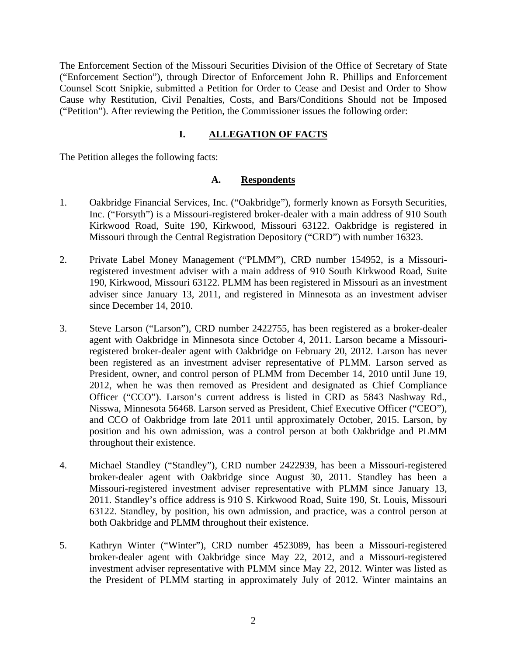The Enforcement Section of the Missouri Securities Division of the Office of Secretary of State ("Enforcement Section"), through Director of Enforcement John R. Phillips and Enforcement Counsel Scott Snipkie, submitted a Petition for Order to Cease and Desist and Order to Show Cause why Restitution, Civil Penalties, Costs, and Bars/Conditions Should not be Imposed ("Petition"). After reviewing the Petition, the Commissioner issues the following order:

## **I. ALLEGATION OF FACTS**

The Petition alleges the following facts:

#### **A. Respondents**

- 1. Oakbridge Financial Services, Inc. ("Oakbridge"), formerly known as Forsyth Securities, Inc. ("Forsyth") is a Missouri-registered broker-dealer with a main address of 910 South Kirkwood Road, Suite 190, Kirkwood, Missouri 63122. Oakbridge is registered in Missouri through the Central Registration Depository ("CRD") with number 16323.
- 2. Private Label Money Management ("PLMM"), CRD number 154952, is a Missouriregistered investment adviser with a main address of 910 South Kirkwood Road, Suite 190, Kirkwood, Missouri 63122. PLMM has been registered in Missouri as an investment adviser since January 13, 2011, and registered in Minnesota as an investment adviser since December 14, 2010.
- 3. Steve Larson ("Larson"), CRD number 2422755, has been registered as a broker-dealer agent with Oakbridge in Minnesota since October 4, 2011. Larson became a Missouriregistered broker-dealer agent with Oakbridge on February 20, 2012. Larson has never been registered as an investment adviser representative of PLMM. Larson served as President, owner, and control person of PLMM from December 14, 2010 until June 19, 2012, when he was then removed as President and designated as Chief Compliance Officer ("CCO"). Larson's current address is listed in CRD as 5843 Nashway Rd., Nisswa, Minnesota 56468. Larson served as President, Chief Executive Officer ("CEO"), and CCO of Oakbridge from late 2011 until approximately October, 2015. Larson, by position and his own admission, was a control person at both Oakbridge and PLMM throughout their existence.
- 4. Michael Standley ("Standley"), CRD number 2422939, has been a Missouri-registered broker-dealer agent with Oakbridge since August 30, 2011. Standley has been a Missouri-registered investment adviser representative with PLMM since January 13, 2011. Standley's office address is 910 S. Kirkwood Road, Suite 190, St. Louis, Missouri 63122. Standley, by position, his own admission, and practice, was a control person at both Oakbridge and PLMM throughout their existence.
- 5. Kathryn Winter ("Winter"), CRD number 4523089, has been a Missouri-registered broker-dealer agent with Oakbridge since May 22, 2012, and a Missouri-registered investment adviser representative with PLMM since May 22, 2012. Winter was listed as the President of PLMM starting in approximately July of 2012. Winter maintains an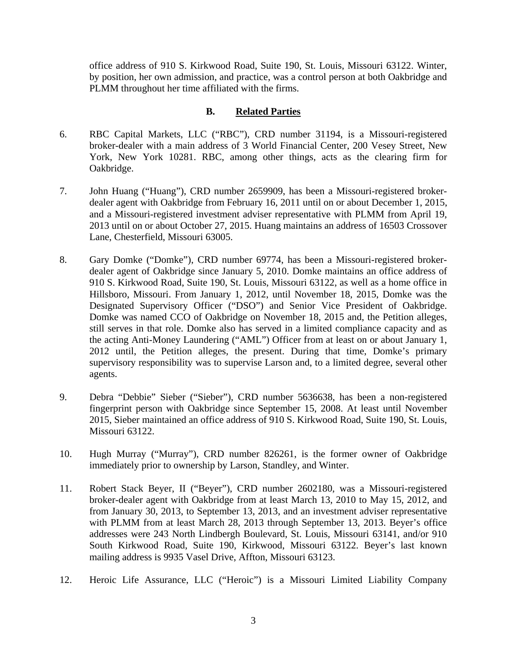office address of 910 S. Kirkwood Road, Suite 190, St. Louis, Missouri 63122. Winter, by position, her own admission, and practice, was a control person at both Oakbridge and PLMM throughout her time affiliated with the firms.

#### **B. Related Parties**

- 6. RBC Capital Markets, LLC ("RBC"), CRD number 31194, is a Missouri-registered broker-dealer with a main address of 3 World Financial Center, 200 Vesey Street, New York, New York 10281. RBC, among other things, acts as the clearing firm for Oakbridge.
- 7. John Huang ("Huang"), CRD number 2659909, has been a Missouri-registered brokerdealer agent with Oakbridge from February 16, 2011 until on or about December 1, 2015, and a Missouri-registered investment adviser representative with PLMM from April 19, 2013 until on or about October 27, 2015. Huang maintains an address of 16503 Crossover Lane, Chesterfield, Missouri 63005.
- 8. Gary Domke ("Domke"), CRD number 69774, has been a Missouri-registered brokerdealer agent of Oakbridge since January 5, 2010. Domke maintains an office address of 910 S. Kirkwood Road, Suite 190, St. Louis, Missouri 63122, as well as a home office in Hillsboro, Missouri. From January 1, 2012, until November 18, 2015, Domke was the Designated Supervisory Officer ("DSO") and Senior Vice President of Oakbridge. Domke was named CCO of Oakbridge on November 18, 2015 and, the Petition alleges, still serves in that role. Domke also has served in a limited compliance capacity and as the acting Anti-Money Laundering ("AML") Officer from at least on or about January 1, 2012 until, the Petition alleges, the present. During that time, Domke's primary supervisory responsibility was to supervise Larson and, to a limited degree, several other agents.
- 9. Debra "Debbie" Sieber ("Sieber"), CRD number 5636638, has been a non-registered fingerprint person with Oakbridge since September 15, 2008. At least until November 2015, Sieber maintained an office address of 910 S. Kirkwood Road, Suite 190, St. Louis, Missouri 63122.
- 10. Hugh Murray ("Murray"), CRD number 826261, is the former owner of Oakbridge immediately prior to ownership by Larson, Standley, and Winter.
- 11. Robert Stack Beyer, II ("Beyer"), CRD number 2602180, was a Missouri-registered broker-dealer agent with Oakbridge from at least March 13, 2010 to May 15, 2012, and from January 30, 2013, to September 13, 2013, and an investment adviser representative with PLMM from at least March 28, 2013 through September 13, 2013. Beyer's office addresses were 243 North Lindbergh Boulevard, St. Louis, Missouri 63141, and/or 910 South Kirkwood Road, Suite 190, Kirkwood, Missouri 63122. Beyer's last known mailing address is 9935 Vasel Drive, Affton, Missouri 63123.
- 12. Heroic Life Assurance, LLC ("Heroic") is a Missouri Limited Liability Company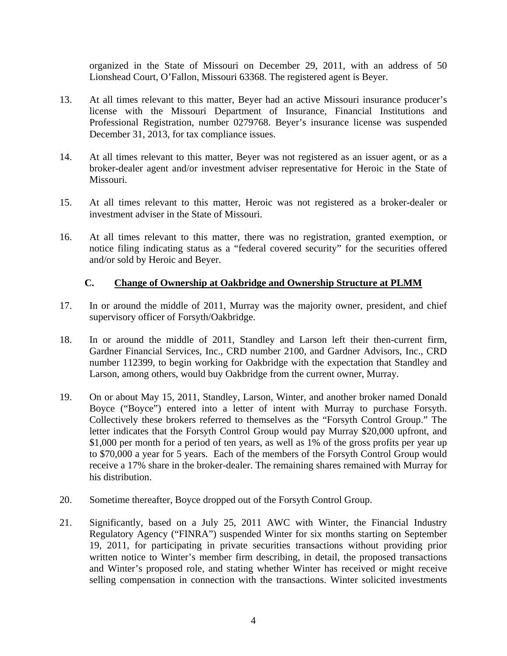organized in the State of Missouri on December 29, 2011, with an address of 50 Lionshead Court, O'Fallon, Missouri 63368. The registered agent is Beyer.

- 13. At all times relevant to this matter, Beyer had an active Missouri insurance producer's license with the Missouri Department of Insurance, Financial Institutions and Professional Registration, number 0279768. Beyer's insurance license was suspended December 31, 2013, for tax compliance issues.
- 14. At all times relevant to this matter, Beyer was not registered as an issuer agent, or as a broker-dealer agent and/or investment adviser representative for Heroic in the State of Missouri.
- 15. At all times relevant to this matter, Heroic was not registered as a broker-dealer or investment adviser in the State of Missouri.
- 16. At all times relevant to this matter, there was no registration, granted exemption, or notice filing indicating status as a "federal covered security" for the securities offered and/or sold by Heroic and Beyer.

## **C. Change of Ownership at Oakbridge and Ownership Structure at PLMM**

- 17. In or around the middle of 2011, Murray was the majority owner, president, and chief supervisory officer of Forsyth/Oakbridge.
- 18. In or around the middle of 2011, Standley and Larson left their then-current firm, Gardner Financial Services, Inc., CRD number 2100, and Gardner Advisors, Inc., CRD number 112399, to begin working for Oakbridge with the expectation that Standley and Larson, among others, would buy Oakbridge from the current owner, Murray.
- 19. On or about May 15, 2011, Standley, Larson, Winter, and another broker named Donald Boyce ("Boyce") entered into a letter of intent with Murray to purchase Forsyth. Collectively these brokers referred to themselves as the "Forsyth Control Group." The letter indicates that the Forsyth Control Group would pay Murray \$20,000 upfront, and \$1,000 per month for a period of ten years, as well as 1% of the gross profits per year up to \$70,000 a year for 5 years. Each of the members of the Forsyth Control Group would receive a 17% share in the broker-dealer. The remaining shares remained with Murray for his distribution.
- 20. Sometime thereafter, Boyce dropped out of the Forsyth Control Group.
- 21. Significantly, based on a July 25, 2011 AWC with Winter, the Financial Industry Regulatory Agency ("FINRA") suspended Winter for six months starting on September 19, 2011, for participating in private securities transactions without providing prior written notice to Winter's member firm describing, in detail, the proposed transactions and Winter's proposed role, and stating whether Winter has received or might receive selling compensation in connection with the transactions. Winter solicited investments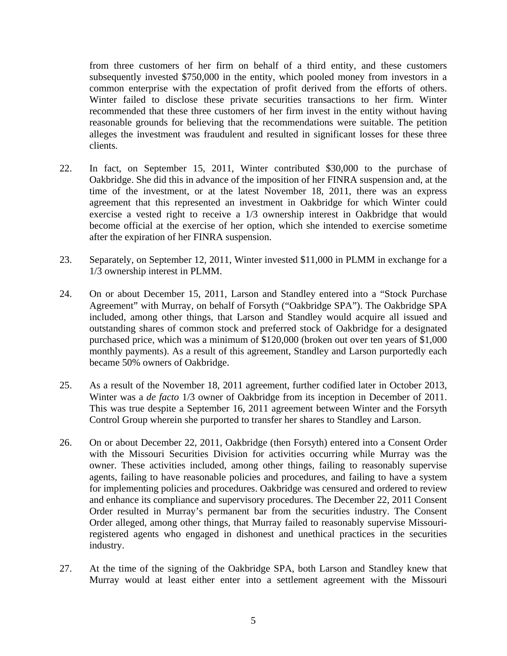from three customers of her firm on behalf of a third entity, and these customers subsequently invested \$750,000 in the entity, which pooled money from investors in a common enterprise with the expectation of profit derived from the efforts of others. Winter failed to disclose these private securities transactions to her firm. Winter recommended that these three customers of her firm invest in the entity without having reasonable grounds for believing that the recommendations were suitable. The petition alleges the investment was fraudulent and resulted in significant losses for these three clients.

- 22. In fact, on September 15, 2011, Winter contributed \$30,000 to the purchase of Oakbridge. She did this in advance of the imposition of her FINRA suspension and, at the time of the investment, or at the latest November 18, 2011, there was an express agreement that this represented an investment in Oakbridge for which Winter could exercise a vested right to receive a 1/3 ownership interest in Oakbridge that would become official at the exercise of her option, which she intended to exercise sometime after the expiration of her FINRA suspension.
- 23. Separately, on September 12, 2011, Winter invested \$11,000 in PLMM in exchange for a 1/3 ownership interest in PLMM.
- 24. On or about December 15, 2011, Larson and Standley entered into a "Stock Purchase Agreement" with Murray, on behalf of Forsyth ("Oakbridge SPA"). The Oakbridge SPA included, among other things, that Larson and Standley would acquire all issued and outstanding shares of common stock and preferred stock of Oakbridge for a designated purchased price, which was a minimum of \$120,000 (broken out over ten years of \$1,000 monthly payments). As a result of this agreement, Standley and Larson purportedly each became 50% owners of Oakbridge.
- 25. As a result of the November 18, 2011 agreement, further codified later in October 2013, Winter was a *de facto* 1/3 owner of Oakbridge from its inception in December of 2011. This was true despite a September 16, 2011 agreement between Winter and the Forsyth Control Group wherein she purported to transfer her shares to Standley and Larson.
- 26. On or about December 22, 2011, Oakbridge (then Forsyth) entered into a Consent Order with the Missouri Securities Division for activities occurring while Murray was the owner. These activities included, among other things, failing to reasonably supervise agents, failing to have reasonable policies and procedures, and failing to have a system for implementing policies and procedures. Oakbridge was censured and ordered to review and enhance its compliance and supervisory procedures. The December 22, 2011 Consent Order resulted in Murray's permanent bar from the securities industry. The Consent Order alleged, among other things, that Murray failed to reasonably supervise Missouriregistered agents who engaged in dishonest and unethical practices in the securities industry.
- 27. At the time of the signing of the Oakbridge SPA, both Larson and Standley knew that Murray would at least either enter into a settlement agreement with the Missouri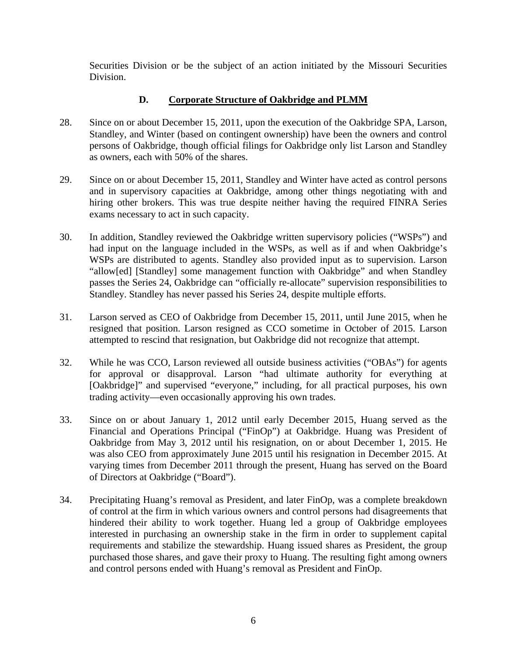Securities Division or be the subject of an action initiated by the Missouri Securities Division.

## **D. Corporate Structure of Oakbridge and PLMM**

- 28. Since on or about December 15, 2011, upon the execution of the Oakbridge SPA, Larson, Standley, and Winter (based on contingent ownership) have been the owners and control persons of Oakbridge, though official filings for Oakbridge only list Larson and Standley as owners, each with 50% of the shares.
- 29. Since on or about December 15, 2011, Standley and Winter have acted as control persons and in supervisory capacities at Oakbridge, among other things negotiating with and hiring other brokers. This was true despite neither having the required FINRA Series exams necessary to act in such capacity.
- 30. In addition, Standley reviewed the Oakbridge written supervisory policies ("WSPs") and had input on the language included in the WSPs, as well as if and when Oakbridge's WSPs are distributed to agents. Standley also provided input as to supervision. Larson "allow[ed] [Standley] some management function with Oakbridge" and when Standley passes the Series 24, Oakbridge can "officially re-allocate" supervision responsibilities to Standley. Standley has never passed his Series 24, despite multiple efforts.
- 31. Larson served as CEO of Oakbridge from December 15, 2011, until June 2015, when he resigned that position. Larson resigned as CCO sometime in October of 2015. Larson attempted to rescind that resignation, but Oakbridge did not recognize that attempt.
- 32. While he was CCO, Larson reviewed all outside business activities ("OBAs") for agents for approval or disapproval. Larson "had ultimate authority for everything at [Oakbridge]" and supervised "everyone," including, for all practical purposes, his own trading activity—even occasionally approving his own trades.
- 33. Since on or about January 1, 2012 until early December 2015, Huang served as the Financial and Operations Principal ("FinOp") at Oakbridge. Huang was President of Oakbridge from May 3, 2012 until his resignation, on or about December 1, 2015. He was also CEO from approximately June 2015 until his resignation in December 2015. At varying times from December 2011 through the present, Huang has served on the Board of Directors at Oakbridge ("Board").
- 34. Precipitating Huang's removal as President, and later FinOp, was a complete breakdown of control at the firm in which various owners and control persons had disagreements that hindered their ability to work together. Huang led a group of Oakbridge employees interested in purchasing an ownership stake in the firm in order to supplement capital requirements and stabilize the stewardship. Huang issued shares as President, the group purchased those shares, and gave their proxy to Huang. The resulting fight among owners and control persons ended with Huang's removal as President and FinOp.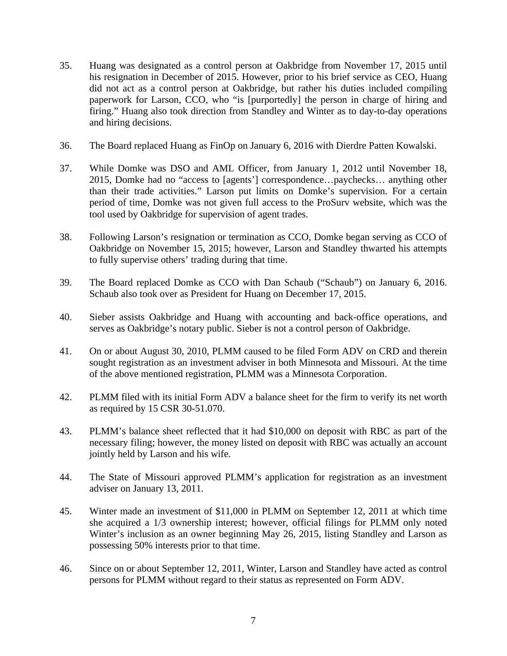- 35. Huang was designated as a control person at Oakbridge from November 17, 2015 until his resignation in December of 2015. However, prior to his brief service as CEO, Huang did not act as a control person at Oakbridge, but rather his duties included compiling paperwork for Larson, CCO, who "is [purportedly] the person in charge of hiring and firing." Huang also took direction from Standley and Winter as to day-to-day operations and hiring decisions.
- 36. The Board replaced Huang as FinOp on January 6, 2016 with Dierdre Patten Kowalski.
- 37. While Domke was DSO and AML Officer, from January 1, 2012 until November 18, 2015, Domke had no "access to [agents'] correspondence…paychecks… anything other than their trade activities." Larson put limits on Domke's supervision. For a certain period of time, Domke was not given full access to the ProSurv website, which was the tool used by Oakbridge for supervision of agent trades.
- 38. Following Larson's resignation or termination as CCO, Domke began serving as CCO of Oakbridge on November 15, 2015; however, Larson and Standley thwarted his attempts to fully supervise others' trading during that time.
- 39. The Board replaced Domke as CCO with Dan Schaub ("Schaub") on January 6, 2016. Schaub also took over as President for Huang on December 17, 2015.
- 40. Sieber assists Oakbridge and Huang with accounting and back-office operations, and serves as Oakbridge's notary public. Sieber is not a control person of Oakbridge.
- 41. On or about August 30, 2010, PLMM caused to be filed Form ADV on CRD and therein sought registration as an investment adviser in both Minnesota and Missouri. At the time of the above mentioned registration, PLMM was a Minnesota Corporation.
- 42. PLMM filed with its initial Form ADV a balance sheet for the firm to verify its net worth as required by 15 CSR 30-51.070.
- 43. PLMM's balance sheet reflected that it had \$10,000 on deposit with RBC as part of the necessary filing; however, the money listed on deposit with RBC was actually an account jointly held by Larson and his wife.
- 44. The State of Missouri approved PLMM's application for registration as an investment adviser on January 13, 2011.
- 45. Winter made an investment of \$11,000 in PLMM on September 12, 2011 at which time she acquired a 1/3 ownership interest; however, official filings for PLMM only noted Winter's inclusion as an owner beginning May 26, 2015, listing Standley and Larson as possessing 50% interests prior to that time.
- 46. Since on or about September 12, 2011, Winter, Larson and Standley have acted as control persons for PLMM without regard to their status as represented on Form ADV.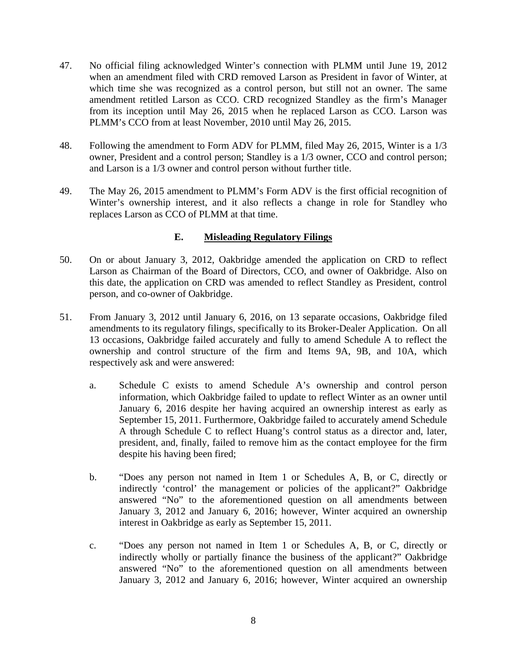- 47. No official filing acknowledged Winter's connection with PLMM until June 19, 2012 when an amendment filed with CRD removed Larson as President in favor of Winter, at which time she was recognized as a control person, but still not an owner. The same amendment retitled Larson as CCO. CRD recognized Standley as the firm's Manager from its inception until May 26, 2015 when he replaced Larson as CCO. Larson was PLMM's CCO from at least November, 2010 until May 26, 2015.
- 48. Following the amendment to Form ADV for PLMM, filed May 26, 2015, Winter is a 1/3 owner, President and a control person; Standley is a 1/3 owner, CCO and control person; and Larson is a 1/3 owner and control person without further title.
- 49. The May 26, 2015 amendment to PLMM's Form ADV is the first official recognition of Winter's ownership interest, and it also reflects a change in role for Standley who replaces Larson as CCO of PLMM at that time.

## **E. Misleading Regulatory Filings**

- 50. On or about January 3, 2012, Oakbridge amended the application on CRD to reflect Larson as Chairman of the Board of Directors, CCO, and owner of Oakbridge. Also on this date, the application on CRD was amended to reflect Standley as President, control person, and co-owner of Oakbridge.
- 51. From January 3, 2012 until January 6, 2016, on 13 separate occasions, Oakbridge filed amendments to its regulatory filings, specifically to its Broker-Dealer Application. On all 13 occasions, Oakbridge failed accurately and fully to amend Schedule A to reflect the ownership and control structure of the firm and Items 9A, 9B, and 10A, which respectively ask and were answered:
	- a. Schedule C exists to amend Schedule A's ownership and control person information, which Oakbridge failed to update to reflect Winter as an owner until January 6, 2016 despite her having acquired an ownership interest as early as September 15, 2011. Furthermore, Oakbridge failed to accurately amend Schedule A through Schedule C to reflect Huang's control status as a director and, later, president, and, finally, failed to remove him as the contact employee for the firm despite his having been fired;
	- b. "Does any person not named in Item 1 or Schedules A, B, or C, directly or indirectly 'control' the management or policies of the applicant?" Oakbridge answered "No" to the aforementioned question on all amendments between January 3, 2012 and January 6, 2016; however, Winter acquired an ownership interest in Oakbridge as early as September 15, 2011.
	- c. "Does any person not named in Item 1 or Schedules A, B, or C, directly or indirectly wholly or partially finance the business of the applicant?" Oakbridge answered "No" to the aforementioned question on all amendments between January 3, 2012 and January 6, 2016; however, Winter acquired an ownership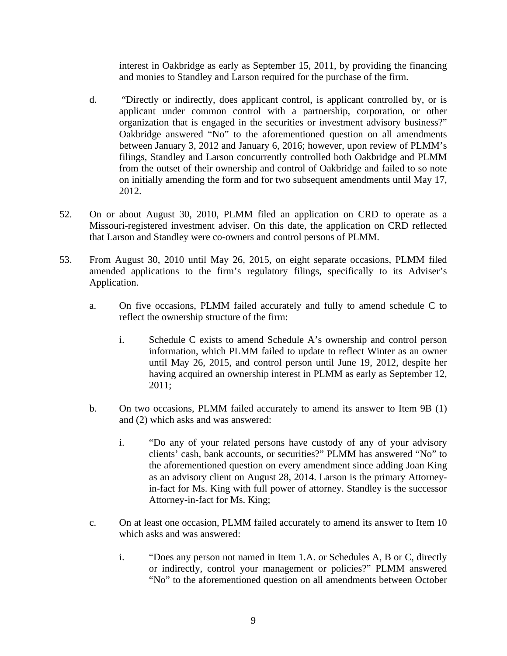interest in Oakbridge as early as September 15, 2011, by providing the financing and monies to Standley and Larson required for the purchase of the firm.

- d. "Directly or indirectly, does applicant control, is applicant controlled by, or is applicant under common control with a partnership, corporation, or other organization that is engaged in the securities or investment advisory business?" Oakbridge answered "No" to the aforementioned question on all amendments between January 3, 2012 and January 6, 2016; however, upon review of PLMM's filings, Standley and Larson concurrently controlled both Oakbridge and PLMM from the outset of their ownership and control of Oakbridge and failed to so note on initially amending the form and for two subsequent amendments until May 17, 2012.
- 52. On or about August 30, 2010, PLMM filed an application on CRD to operate as a Missouri-registered investment adviser. On this date, the application on CRD reflected that Larson and Standley were co-owners and control persons of PLMM.
- 53. From August 30, 2010 until May 26, 2015, on eight separate occasions, PLMM filed amended applications to the firm's regulatory filings, specifically to its Adviser's Application.
	- a. On five occasions, PLMM failed accurately and fully to amend schedule C to reflect the ownership structure of the firm:
		- i. Schedule C exists to amend Schedule A's ownership and control person information, which PLMM failed to update to reflect Winter as an owner until May 26, 2015, and control person until June 19, 2012, despite her having acquired an ownership interest in PLMM as early as September 12, 2011;
	- b. On two occasions, PLMM failed accurately to amend its answer to Item 9B (1) and (2) which asks and was answered:
		- i. "Do any of your related persons have custody of any of your advisory clients' cash, bank accounts, or securities?" PLMM has answered "No" to the aforementioned question on every amendment since adding Joan King as an advisory client on August 28, 2014. Larson is the primary Attorneyin-fact for Ms. King with full power of attorney. Standley is the successor Attorney-in-fact for Ms. King;
	- c. On at least one occasion, PLMM failed accurately to amend its answer to Item 10 which asks and was answered:
		- i. "Does any person not named in Item 1.A. or Schedules A, B or C, directly or indirectly, control your management or policies?" PLMM answered "No" to the aforementioned question on all amendments between October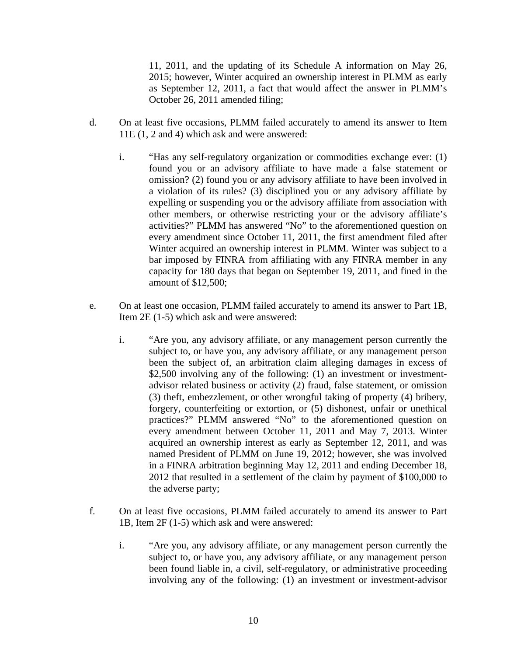11, 2011, and the updating of its Schedule A information on May 26, 2015; however, Winter acquired an ownership interest in PLMM as early as September 12, 2011, a fact that would affect the answer in PLMM's October 26, 2011 amended filing;

- d. On at least five occasions, PLMM failed accurately to amend its answer to Item 11E (1, 2 and 4) which ask and were answered:
	- i. "Has any self-regulatory organization or commodities exchange ever: (1) found you or an advisory affiliate to have made a false statement or omission? (2) found you or any advisory affiliate to have been involved in a violation of its rules? (3) disciplined you or any advisory affiliate by expelling or suspending you or the advisory affiliate from association with other members, or otherwise restricting your or the advisory affiliate's activities?" PLMM has answered "No" to the aforementioned question on every amendment since October 11, 2011, the first amendment filed after Winter acquired an ownership interest in PLMM. Winter was subject to a bar imposed by FINRA from affiliating with any FINRA member in any capacity for 180 days that began on September 19, 2011, and fined in the amount of \$12,500;
- e. On at least one occasion, PLMM failed accurately to amend its answer to Part 1B, Item 2E (1-5) which ask and were answered:
	- i. "Are you, any advisory affiliate, or any management person currently the subject to, or have you, any advisory affiliate, or any management person been the subject of, an arbitration claim alleging damages in excess of \$2,500 involving any of the following: (1) an investment or investmentadvisor related business or activity (2) fraud, false statement, or omission (3) theft, embezzlement, or other wrongful taking of property (4) bribery, forgery, counterfeiting or extortion, or (5) dishonest, unfair or unethical practices?" PLMM answered "No" to the aforementioned question on every amendment between October 11, 2011 and May 7, 2013. Winter acquired an ownership interest as early as September 12, 2011, and was named President of PLMM on June 19, 2012; however, she was involved in a FINRA arbitration beginning May 12, 2011 and ending December 18, 2012 that resulted in a settlement of the claim by payment of \$100,000 to the adverse party;
- f. On at least five occasions, PLMM failed accurately to amend its answer to Part 1B, Item 2F (1-5) which ask and were answered:
	- i. "Are you, any advisory affiliate, or any management person currently the subject to, or have you, any advisory affiliate, or any management person been found liable in, a civil, self-regulatory, or administrative proceeding involving any of the following: (1) an investment or investment-advisor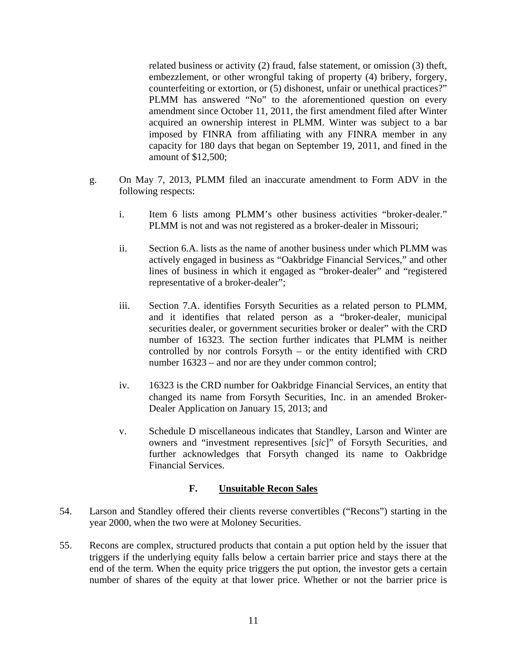related business or activity (2) fraud, false statement, or omission (3) theft, embezzlement, or other wrongful taking of property (4) bribery, forgery, counterfeiting or extortion, or (5) dishonest, unfair or unethical practices?" PLMM has answered "No" to the aforementioned question on every amendment since October 11, 2011, the first amendment filed after Winter acquired an ownership interest in PLMM. Winter was subject to a bar imposed by FINRA from affiliating with any FINRA member in any capacity for 180 days that began on September 19, 2011, and fined in the amount of \$12,500;

- g. On May 7, 2013, PLMM filed an inaccurate amendment to Form ADV in the following respects:
	- i. Item 6 lists among PLMM's other business activities "broker-dealer." PLMM is not and was not registered as a broker-dealer in Missouri;
	- ii. Section 6.A. lists as the name of another business under which PLMM was actively engaged in business as "Oakbridge Financial Services," and other lines of business in which it engaged as "broker-dealer" and "registered representative of a broker-dealer";
	- iii. Section 7.A. identifies Forsyth Securities as a related person to PLMM, and it identifies that related person as a "broker-dealer, municipal securities dealer, or government securities broker or dealer" with the CRD number of 16323. The section further indicates that PLMM is neither controlled by nor controls Forsyth – or the entity identified with CRD number 16323 – and nor are they under common control;
	- iv. 16323 is the CRD number for Oakbridge Financial Services, an entity that changed its name from Forsyth Securities, Inc. in an amended Broker-Dealer Application on January 15, 2013; and
	- v. Schedule D miscellaneous indicates that Standley, Larson and Winter are owners and "investment representives [*sic*]" of Forsyth Securities, and further acknowledges that Forsyth changed its name to Oakbridge Financial Services.

#### **F. Unsuitable Recon Sales**

- 54. Larson and Standley offered their clients reverse convertibles ("Recons") starting in the year 2000, when the two were at Moloney Securities.
- 55. Recons are complex, structured products that contain a put option held by the issuer that triggers if the underlying equity falls below a certain barrier price and stays there at the end of the term. When the equity price triggers the put option, the investor gets a certain number of shares of the equity at that lower price. Whether or not the barrier price is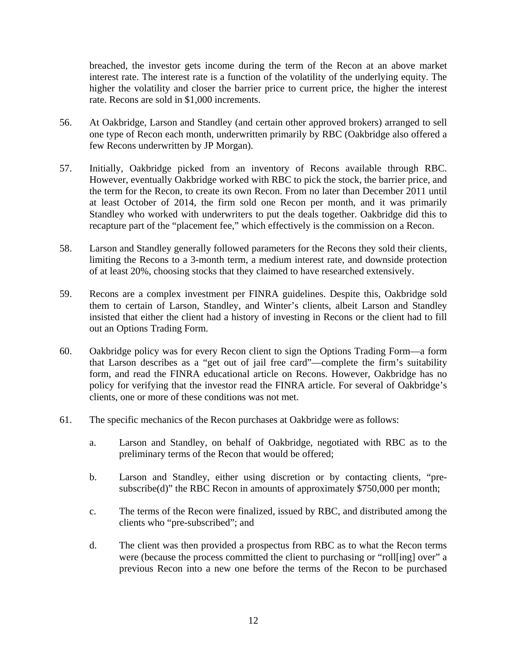breached, the investor gets income during the term of the Recon at an above market interest rate. The interest rate is a function of the volatility of the underlying equity. The higher the volatility and closer the barrier price to current price, the higher the interest rate. Recons are sold in \$1,000 increments.

- 56. At Oakbridge, Larson and Standley (and certain other approved brokers) arranged to sell one type of Recon each month, underwritten primarily by RBC (Oakbridge also offered a few Recons underwritten by JP Morgan).
- 57. Initially, Oakbridge picked from an inventory of Recons available through RBC. However, eventually Oakbridge worked with RBC to pick the stock, the barrier price, and the term for the Recon, to create its own Recon. From no later than December 2011 until at least October of 2014, the firm sold one Recon per month, and it was primarily Standley who worked with underwriters to put the deals together. Oakbridge did this to recapture part of the "placement fee," which effectively is the commission on a Recon.
- 58. Larson and Standley generally followed parameters for the Recons they sold their clients, limiting the Recons to a 3-month term, a medium interest rate, and downside protection of at least 20%, choosing stocks that they claimed to have researched extensively.
- 59. Recons are a complex investment per FINRA guidelines. Despite this, Oakbridge sold them to certain of Larson, Standley, and Winter's clients, albeit Larson and Standley insisted that either the client had a history of investing in Recons or the client had to fill out an Options Trading Form.
- 60. Oakbridge policy was for every Recon client to sign the Options Trading Form—a form that Larson describes as a "get out of jail free card"—complete the firm's suitability form, and read the FINRA educational article on Recons. However, Oakbridge has no policy for verifying that the investor read the FINRA article. For several of Oakbridge's clients, one or more of these conditions was not met.
- 61. The specific mechanics of the Recon purchases at Oakbridge were as follows:
	- a. Larson and Standley, on behalf of Oakbridge, negotiated with RBC as to the preliminary terms of the Recon that would be offered;
	- b. Larson and Standley, either using discretion or by contacting clients, "presubscribe(d)" the RBC Recon in amounts of approximately \$750,000 per month;
	- c. The terms of the Recon were finalized, issued by RBC, and distributed among the clients who "pre-subscribed"; and
	- d. The client was then provided a prospectus from RBC as to what the Recon terms were (because the process committed the client to purchasing or "roll[ing] over" a previous Recon into a new one before the terms of the Recon to be purchased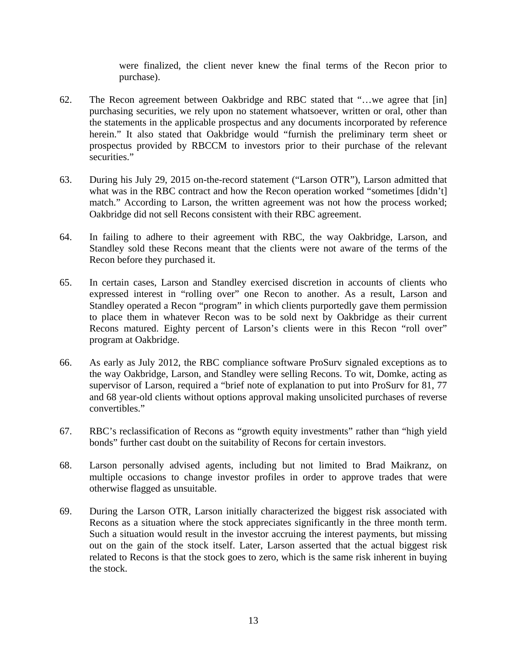were finalized, the client never knew the final terms of the Recon prior to purchase).

- 62. The Recon agreement between Oakbridge and RBC stated that "…we agree that [in] purchasing securities, we rely upon no statement whatsoever, written or oral, other than the statements in the applicable prospectus and any documents incorporated by reference herein." It also stated that Oakbridge would "furnish the preliminary term sheet or prospectus provided by RBCCM to investors prior to their purchase of the relevant securities."
- 63. During his July 29, 2015 on-the-record statement ("Larson OTR"), Larson admitted that what was in the RBC contract and how the Recon operation worked "sometimes [didn't] match." According to Larson, the written agreement was not how the process worked; Oakbridge did not sell Recons consistent with their RBC agreement.
- 64. In failing to adhere to their agreement with RBC, the way Oakbridge, Larson, and Standley sold these Recons meant that the clients were not aware of the terms of the Recon before they purchased it.
- 65. In certain cases, Larson and Standley exercised discretion in accounts of clients who expressed interest in "rolling over" one Recon to another. As a result, Larson and Standley operated a Recon "program" in which clients purportedly gave them permission to place them in whatever Recon was to be sold next by Oakbridge as their current Recons matured. Eighty percent of Larson's clients were in this Recon "roll over" program at Oakbridge.
- 66. As early as July 2012, the RBC compliance software ProSurv signaled exceptions as to the way Oakbridge, Larson, and Standley were selling Recons. To wit, Domke, acting as supervisor of Larson, required a "brief note of explanation to put into ProSurv for 81, 77 and 68 year-old clients without options approval making unsolicited purchases of reverse convertibles."
- 67. RBC's reclassification of Recons as "growth equity investments" rather than "high yield bonds" further cast doubt on the suitability of Recons for certain investors.
- 68. Larson personally advised agents, including but not limited to Brad Maikranz, on multiple occasions to change investor profiles in order to approve trades that were otherwise flagged as unsuitable.
- 69. During the Larson OTR, Larson initially characterized the biggest risk associated with Recons as a situation where the stock appreciates significantly in the three month term. Such a situation would result in the investor accruing the interest payments, but missing out on the gain of the stock itself. Later, Larson asserted that the actual biggest risk related to Recons is that the stock goes to zero, which is the same risk inherent in buying the stock.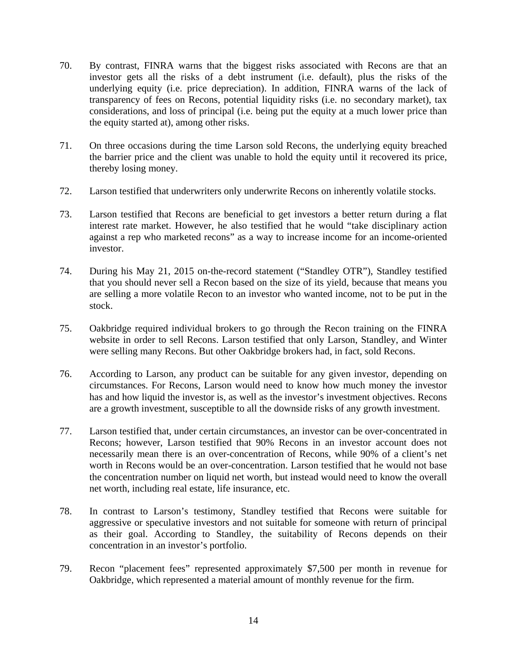- 70. By contrast, FINRA warns that the biggest risks associated with Recons are that an investor gets all the risks of a debt instrument (i.e. default), plus the risks of the underlying equity (i.e. price depreciation). In addition, FINRA warns of the lack of transparency of fees on Recons, potential liquidity risks (i.e. no secondary market), tax considerations, and loss of principal (i.e. being put the equity at a much lower price than the equity started at), among other risks.
- 71. On three occasions during the time Larson sold Recons, the underlying equity breached the barrier price and the client was unable to hold the equity until it recovered its price, thereby losing money.
- 72. Larson testified that underwriters only underwrite Recons on inherently volatile stocks.
- 73. Larson testified that Recons are beneficial to get investors a better return during a flat interest rate market. However, he also testified that he would "take disciplinary action against a rep who marketed recons" as a way to increase income for an income-oriented investor.
- 74. During his May 21, 2015 on-the-record statement ("Standley OTR"), Standley testified that you should never sell a Recon based on the size of its yield, because that means you are selling a more volatile Recon to an investor who wanted income, not to be put in the stock.
- 75. Oakbridge required individual brokers to go through the Recon training on the FINRA website in order to sell Recons. Larson testified that only Larson, Standley, and Winter were selling many Recons. But other Oakbridge brokers had, in fact, sold Recons.
- 76. According to Larson, any product can be suitable for any given investor, depending on circumstances. For Recons, Larson would need to know how much money the investor has and how liquid the investor is, as well as the investor's investment objectives. Recons are a growth investment, susceptible to all the downside risks of any growth investment.
- 77. Larson testified that, under certain circumstances, an investor can be over-concentrated in Recons; however, Larson testified that 90% Recons in an investor account does not necessarily mean there is an over-concentration of Recons, while 90% of a client's net worth in Recons would be an over-concentration. Larson testified that he would not base the concentration number on liquid net worth, but instead would need to know the overall net worth, including real estate, life insurance, etc.
- 78. In contrast to Larson's testimony, Standley testified that Recons were suitable for aggressive or speculative investors and not suitable for someone with return of principal as their goal. According to Standley, the suitability of Recons depends on their concentration in an investor's portfolio.
- 79. Recon "placement fees" represented approximately \$7,500 per month in revenue for Oakbridge, which represented a material amount of monthly revenue for the firm.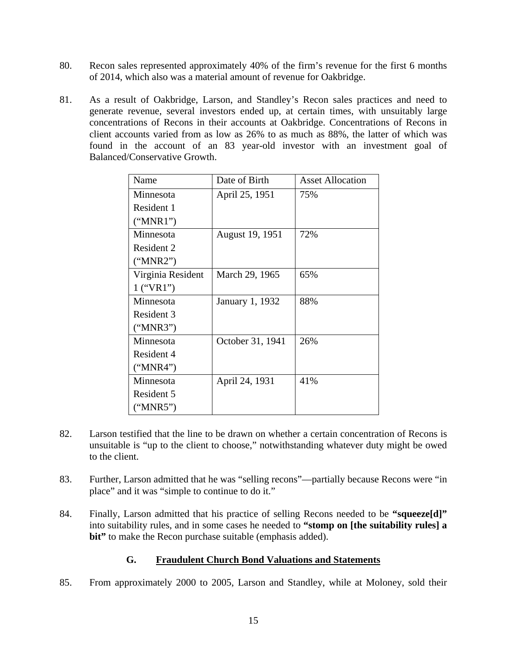- 80. Recon sales represented approximately 40% of the firm's revenue for the first 6 months of 2014, which also was a material amount of revenue for Oakbridge.
- 81. As a result of Oakbridge, Larson, and Standley's Recon sales practices and need to generate revenue, several investors ended up, at certain times, with unsuitably large concentrations of Recons in their accounts at Oakbridge. Concentrations of Recons in client accounts varied from as low as 26% to as much as 88%, the latter of which was found in the account of an 83 year-old investor with an investment goal of Balanced/Conservative Growth.

| Name              | Date of Birth    | <b>Asset Allocation</b> |
|-------------------|------------------|-------------------------|
| Minnesota         | April 25, 1951   | 75%                     |
| Resident 1        |                  |                         |
| ("MNR1")          |                  |                         |
| Minnesota         | August 19, 1951  | 72%                     |
| Resident 2        |                  |                         |
| ("MNR2")          |                  |                         |
| Virginia Resident | March 29, 1965   | 65%                     |
| $1$ ("VR1")       |                  |                         |
| Minnesota         | January 1, 1932  | 88%                     |
| Resident 3        |                  |                         |
| ("MNR3")          |                  |                         |
| Minnesota         | October 31, 1941 | 26%                     |
| Resident 4        |                  |                         |
| ("MNR4")          |                  |                         |
| Minnesota         | April 24, 1931   | 41%                     |
| Resident 5        |                  |                         |
| ("MNR5")          |                  |                         |

- 82. Larson testified that the line to be drawn on whether a certain concentration of Recons is unsuitable is "up to the client to choose," notwithstanding whatever duty might be owed to the client.
- 83. Further, Larson admitted that he was "selling recons"—partially because Recons were "in place" and it was "simple to continue to do it."
- 84. Finally, Larson admitted that his practice of selling Recons needed to be **"squeeze[d]"** into suitability rules, and in some cases he needed to **"stomp on [the suitability rules] a bit"** to make the Recon purchase suitable (emphasis added).

## **G. Fraudulent Church Bond Valuations and Statements**

85. From approximately 2000 to 2005, Larson and Standley, while at Moloney, sold their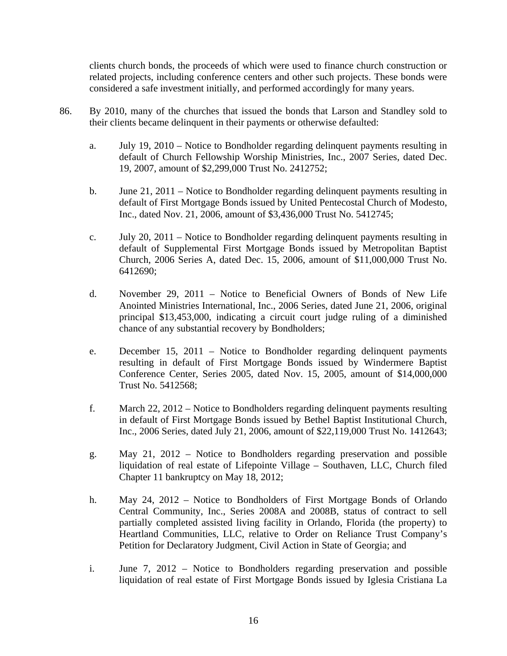clients church bonds, the proceeds of which were used to finance church construction or related projects, including conference centers and other such projects. These bonds were considered a safe investment initially, and performed accordingly for many years.

- 86. By 2010, many of the churches that issued the bonds that Larson and Standley sold to their clients became delinquent in their payments or otherwise defaulted:
	- a. July 19, 2010 Notice to Bondholder regarding delinquent payments resulting in default of Church Fellowship Worship Ministries, Inc., 2007 Series, dated Dec. 19, 2007, amount of \$2,299,000 Trust No. 2412752;
	- b. June 21, 2011 Notice to Bondholder regarding delinquent payments resulting in default of First Mortgage Bonds issued by United Pentecostal Church of Modesto, Inc., dated Nov. 21, 2006, amount of \$3,436,000 Trust No. 5412745;
	- c. July 20, 2011 Notice to Bondholder regarding delinquent payments resulting in default of Supplemental First Mortgage Bonds issued by Metropolitan Baptist Church, 2006 Series A, dated Dec. 15, 2006, amount of \$11,000,000 Trust No. 6412690;
	- d. November 29, 2011 Notice to Beneficial Owners of Bonds of New Life Anointed Ministries International, Inc., 2006 Series, dated June 21, 2006, original principal \$13,453,000, indicating a circuit court judge ruling of a diminished chance of any substantial recovery by Bondholders;
	- e. December 15, 2011 Notice to Bondholder regarding delinquent payments resulting in default of First Mortgage Bonds issued by Windermere Baptist Conference Center, Series 2005, dated Nov. 15, 2005, amount of \$14,000,000 Trust No. 5412568;
	- f. March 22, 2012 Notice to Bondholders regarding delinquent payments resulting in default of First Mortgage Bonds issued by Bethel Baptist Institutional Church, Inc., 2006 Series, dated July 21, 2006, amount of \$22,119,000 Trust No. 1412643;
	- g. May 21, 2012 Notice to Bondholders regarding preservation and possible liquidation of real estate of Lifepointe Village – Southaven, LLC, Church filed Chapter 11 bankruptcy on May 18, 2012;
	- h. May 24, 2012 Notice to Bondholders of First Mortgage Bonds of Orlando Central Community, Inc., Series 2008A and 2008B, status of contract to sell partially completed assisted living facility in Orlando, Florida (the property) to Heartland Communities, LLC, relative to Order on Reliance Trust Company's Petition for Declaratory Judgment, Civil Action in State of Georgia; and
	- i. June 7, 2012 Notice to Bondholders regarding preservation and possible liquidation of real estate of First Mortgage Bonds issued by Iglesia Cristiana La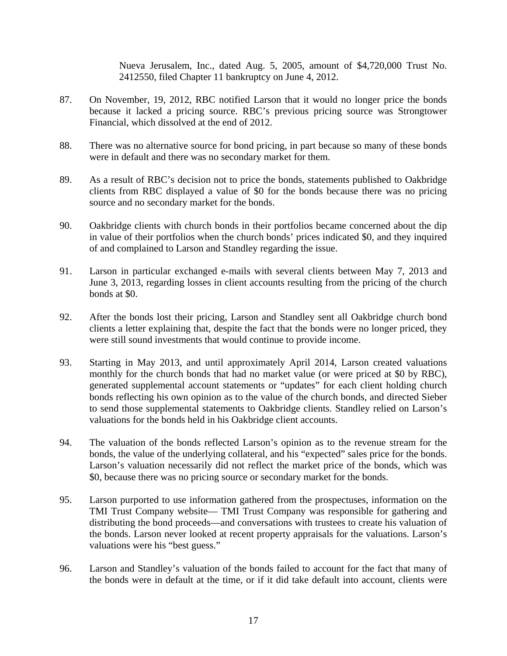Nueva Jerusalem, Inc., dated Aug. 5, 2005, amount of \$4,720,000 Trust No. 2412550, filed Chapter 11 bankruptcy on June 4, 2012.

- 87. On November, 19, 2012, RBC notified Larson that it would no longer price the bonds because it lacked a pricing source. RBC's previous pricing source was Strongtower Financial, which dissolved at the end of 2012.
- 88. There was no alternative source for bond pricing, in part because so many of these bonds were in default and there was no secondary market for them.
- 89. As a result of RBC's decision not to price the bonds, statements published to Oakbridge clients from RBC displayed a value of \$0 for the bonds because there was no pricing source and no secondary market for the bonds.
- 90. Oakbridge clients with church bonds in their portfolios became concerned about the dip in value of their portfolios when the church bonds' prices indicated \$0, and they inquired of and complained to Larson and Standley regarding the issue.
- 91. Larson in particular exchanged e-mails with several clients between May 7, 2013 and June 3, 2013, regarding losses in client accounts resulting from the pricing of the church bonds at \$0.
- 92. After the bonds lost their pricing, Larson and Standley sent all Oakbridge church bond clients a letter explaining that, despite the fact that the bonds were no longer priced, they were still sound investments that would continue to provide income.
- 93. Starting in May 2013, and until approximately April 2014, Larson created valuations monthly for the church bonds that had no market value (or were priced at \$0 by RBC), generated supplemental account statements or "updates" for each client holding church bonds reflecting his own opinion as to the value of the church bonds, and directed Sieber to send those supplemental statements to Oakbridge clients. Standley relied on Larson's valuations for the bonds held in his Oakbridge client accounts.
- 94. The valuation of the bonds reflected Larson's opinion as to the revenue stream for the bonds, the value of the underlying collateral, and his "expected" sales price for the bonds. Larson's valuation necessarily did not reflect the market price of the bonds, which was \$0, because there was no pricing source or secondary market for the bonds.
- 95. Larson purported to use information gathered from the prospectuses, information on the TMI Trust Company website— TMI Trust Company was responsible for gathering and distributing the bond proceeds—and conversations with trustees to create his valuation of the bonds. Larson never looked at recent property appraisals for the valuations. Larson's valuations were his "best guess."
- 96. Larson and Standley's valuation of the bonds failed to account for the fact that many of the bonds were in default at the time, or if it did take default into account, clients were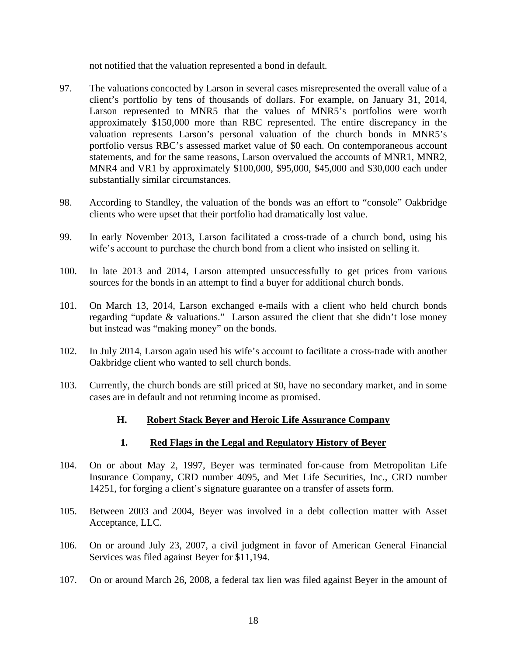not notified that the valuation represented a bond in default.

- 97. The valuations concocted by Larson in several cases misrepresented the overall value of a client's portfolio by tens of thousands of dollars. For example, on January 31, 2014, Larson represented to MNR5 that the values of MNR5's portfolios were worth approximately \$150,000 more than RBC represented. The entire discrepancy in the valuation represents Larson's personal valuation of the church bonds in MNR5's portfolio versus RBC's assessed market value of \$0 each. On contemporaneous account statements, and for the same reasons, Larson overvalued the accounts of MNR1, MNR2, MNR4 and VR1 by approximately \$100,000, \$95,000, \$45,000 and \$30,000 each under substantially similar circumstances.
- 98. According to Standley, the valuation of the bonds was an effort to "console" Oakbridge clients who were upset that their portfolio had dramatically lost value.
- 99. In early November 2013, Larson facilitated a cross-trade of a church bond, using his wife's account to purchase the church bond from a client who insisted on selling it.
- 100. In late 2013 and 2014, Larson attempted unsuccessfully to get prices from various sources for the bonds in an attempt to find a buyer for additional church bonds.
- 101. On March 13, 2014, Larson exchanged e-mails with a client who held church bonds regarding "update & valuations." Larson assured the client that she didn't lose money but instead was "making money" on the bonds.
- 102. In July 2014, Larson again used his wife's account to facilitate a cross-trade with another Oakbridge client who wanted to sell church bonds.
- 103. Currently, the church bonds are still priced at \$0, have no secondary market, and in some cases are in default and not returning income as promised.

## **H. Robert Stack Beyer and Heroic Life Assurance Company**

#### **1. Red Flags in the Legal and Regulatory History of Beyer**

- 104. On or about May 2, 1997, Beyer was terminated for-cause from Metropolitan Life Insurance Company, CRD number 4095, and Met Life Securities, Inc., CRD number 14251, for forging a client's signature guarantee on a transfer of assets form.
- 105. Between 2003 and 2004, Beyer was involved in a debt collection matter with Asset Acceptance, LLC.
- 106. On or around July 23, 2007, a civil judgment in favor of American General Financial Services was filed against Beyer for \$11,194.
- 107. On or around March 26, 2008, a federal tax lien was filed against Beyer in the amount of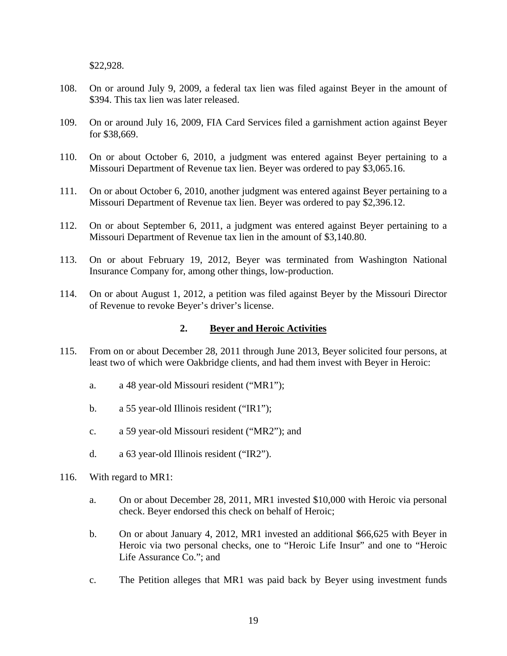\$22,928.

- 108. On or around July 9, 2009, a federal tax lien was filed against Beyer in the amount of \$394. This tax lien was later released.
- 109. On or around July 16, 2009, FIA Card Services filed a garnishment action against Beyer for \$38,669.
- 110. On or about October 6, 2010, a judgment was entered against Beyer pertaining to a Missouri Department of Revenue tax lien. Beyer was ordered to pay \$3,065.16.
- 111. On or about October 6, 2010, another judgment was entered against Beyer pertaining to a Missouri Department of Revenue tax lien. Beyer was ordered to pay \$2,396.12.
- 112. On or about September 6, 2011, a judgment was entered against Beyer pertaining to a Missouri Department of Revenue tax lien in the amount of \$3,140.80.
- 113. On or about February 19, 2012, Beyer was terminated from Washington National Insurance Company for, among other things, low-production.
- 114. On or about August 1, 2012, a petition was filed against Beyer by the Missouri Director of Revenue to revoke Beyer's driver's license.

#### **2. Beyer and Heroic Activities**

- 115. From on or about December 28, 2011 through June 2013, Beyer solicited four persons, at least two of which were Oakbridge clients, and had them invest with Beyer in Heroic:
	- a. a 48 year-old Missouri resident ("MR1");
	- b. a 55 year-old Illinois resident ("IR1");
	- c. a 59 year-old Missouri resident ("MR2"); and
	- d. a 63 year-old Illinois resident ("IR2").
- 116. With regard to MR1:
	- a. On or about December 28, 2011, MR1 invested \$10,000 with Heroic via personal check. Beyer endorsed this check on behalf of Heroic;
	- b. On or about January 4, 2012, MR1 invested an additional \$66,625 with Beyer in Heroic via two personal checks, one to "Heroic Life Insur" and one to "Heroic Life Assurance Co."; and
	- c. The Petition alleges that MR1 was paid back by Beyer using investment funds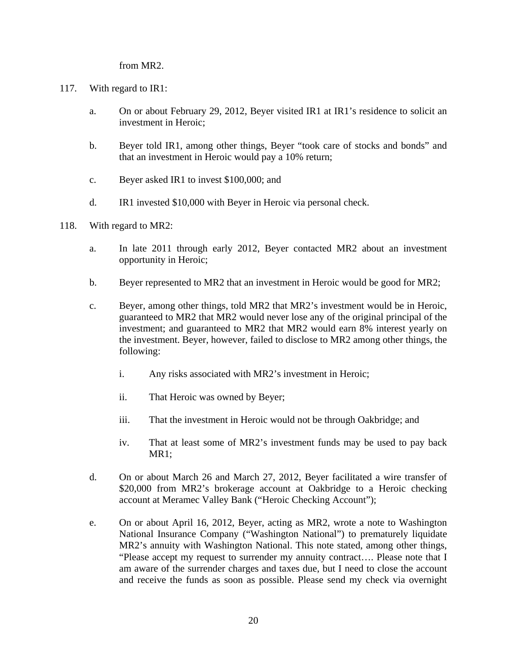from MR2.

- 117. With regard to IR1:
	- a. On or about February 29, 2012, Beyer visited IR1 at IR1's residence to solicit an investment in Heroic;
	- b. Beyer told IR1, among other things, Beyer "took care of stocks and bonds" and that an investment in Heroic would pay a 10% return;
	- c. Beyer asked IR1 to invest \$100,000; and
	- d. IR1 invested \$10,000 with Beyer in Heroic via personal check.
- 118. With regard to MR2:
	- a. In late 2011 through early 2012, Beyer contacted MR2 about an investment opportunity in Heroic;
	- b. Beyer represented to MR2 that an investment in Heroic would be good for MR2;
	- c. Beyer, among other things, told MR2 that MR2's investment would be in Heroic, guaranteed to MR2 that MR2 would never lose any of the original principal of the investment; and guaranteed to MR2 that MR2 would earn 8% interest yearly on the investment. Beyer, however, failed to disclose to MR2 among other things, the following:
		- i. Any risks associated with MR2's investment in Heroic;
		- ii. That Heroic was owned by Beyer;
		- iii. That the investment in Heroic would not be through Oakbridge; and
		- iv. That at least some of MR2's investment funds may be used to pay back MR1;
	- d. On or about March 26 and March 27, 2012, Beyer facilitated a wire transfer of \$20,000 from MR2's brokerage account at Oakbridge to a Heroic checking account at Meramec Valley Bank ("Heroic Checking Account");
	- e. On or about April 16, 2012, Beyer, acting as MR2, wrote a note to Washington National Insurance Company ("Washington National") to prematurely liquidate MR2's annuity with Washington National. This note stated, among other things, "Please accept my request to surrender my annuity contract…. Please note that I am aware of the surrender charges and taxes due, but I need to close the account and receive the funds as soon as possible. Please send my check via overnight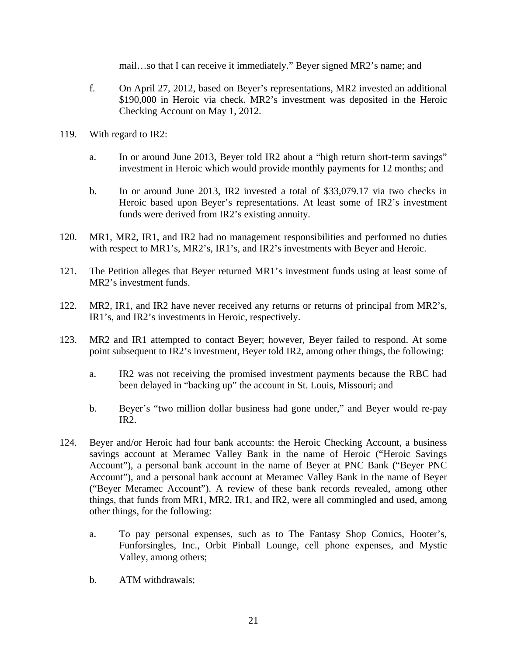mail…so that I can receive it immediately." Beyer signed MR2's name; and

- f. On April 27, 2012, based on Beyer's representations, MR2 invested an additional \$190,000 in Heroic via check. MR2's investment was deposited in the Heroic Checking Account on May 1, 2012.
- 119. With regard to IR2:
	- a. In or around June 2013, Beyer told IR2 about a "high return short-term savings" investment in Heroic which would provide monthly payments for 12 months; and
	- b. In or around June 2013, IR2 invested a total of \$33,079.17 via two checks in Heroic based upon Beyer's representations. At least some of IR2's investment funds were derived from IR2's existing annuity.
- 120. MR1, MR2, IR1, and IR2 had no management responsibilities and performed no duties with respect to MR1's, MR2's, IR1's, and IR2's investments with Beyer and Heroic.
- 121. The Petition alleges that Beyer returned MR1's investment funds using at least some of MR2's investment funds.
- 122. MR2, IR1, and IR2 have never received any returns or returns of principal from MR2's, IR1's, and IR2's investments in Heroic, respectively.
- 123. MR2 and IR1 attempted to contact Beyer; however, Beyer failed to respond. At some point subsequent to IR2's investment, Beyer told IR2, among other things, the following:
	- a. IR2 was not receiving the promised investment payments because the RBC had been delayed in "backing up" the account in St. Louis, Missouri; and
	- b. Beyer's "two million dollar business had gone under," and Beyer would re-pay IR2.
- 124. Beyer and/or Heroic had four bank accounts: the Heroic Checking Account, a business savings account at Meramec Valley Bank in the name of Heroic ("Heroic Savings Account"), a personal bank account in the name of Beyer at PNC Bank ("Beyer PNC Account"), and a personal bank account at Meramec Valley Bank in the name of Beyer ("Beyer Meramec Account"). A review of these bank records revealed, among other things, that funds from MR1, MR2, IR1, and IR2, were all commingled and used, among other things, for the following:
	- a. To pay personal expenses, such as to The Fantasy Shop Comics, Hooter's, Funforsingles, Inc., Orbit Pinball Lounge, cell phone expenses, and Mystic Valley, among others;
	- b. ATM withdrawals;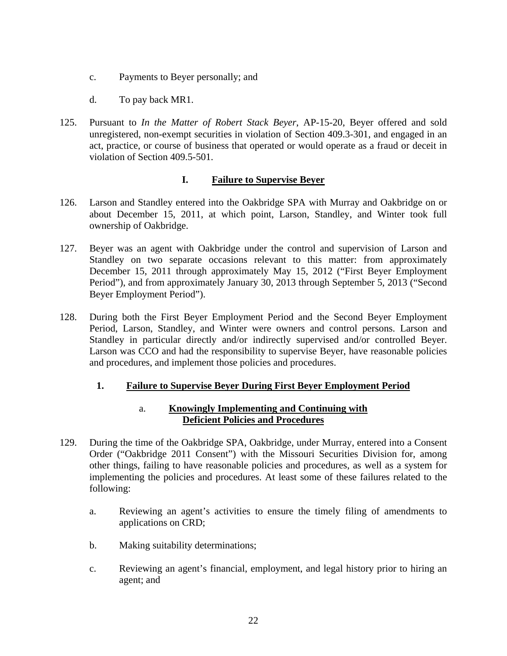- c. Payments to Beyer personally; and
- d. To pay back MR1.
- 125. Pursuant to *In the Matter of Robert Stack Beyer*, AP-15-20, Beyer offered and sold unregistered, non-exempt securities in violation of Section 409.3-301, and engaged in an act, practice, or course of business that operated or would operate as a fraud or deceit in violation of Section 409.5-501.

### **I. Failure to Supervise Beyer**

- 126. Larson and Standley entered into the Oakbridge SPA with Murray and Oakbridge on or about December 15, 2011, at which point, Larson, Standley, and Winter took full ownership of Oakbridge.
- 127. Beyer was an agent with Oakbridge under the control and supervision of Larson and Standley on two separate occasions relevant to this matter: from approximately December 15, 2011 through approximately May 15, 2012 ("First Beyer Employment Period"), and from approximately January 30, 2013 through September 5, 2013 ("Second Beyer Employment Period").
- 128. During both the First Beyer Employment Period and the Second Beyer Employment Period, Larson, Standley, and Winter were owners and control persons. Larson and Standley in particular directly and/or indirectly supervised and/or controlled Beyer. Larson was CCO and had the responsibility to supervise Beyer, have reasonable policies and procedures, and implement those policies and procedures.

## **1. Failure to Supervise Beyer During First Beyer Employment Period**

### a. **Knowingly Implementing and Continuing with Deficient Policies and Procedures**

- 129. During the time of the Oakbridge SPA, Oakbridge, under Murray, entered into a Consent Order ("Oakbridge 2011 Consent") with the Missouri Securities Division for, among other things, failing to have reasonable policies and procedures, as well as a system for implementing the policies and procedures. At least some of these failures related to the following:
	- a. Reviewing an agent's activities to ensure the timely filing of amendments to applications on CRD;
	- b. Making suitability determinations;
	- c. Reviewing an agent's financial, employment, and legal history prior to hiring an agent; and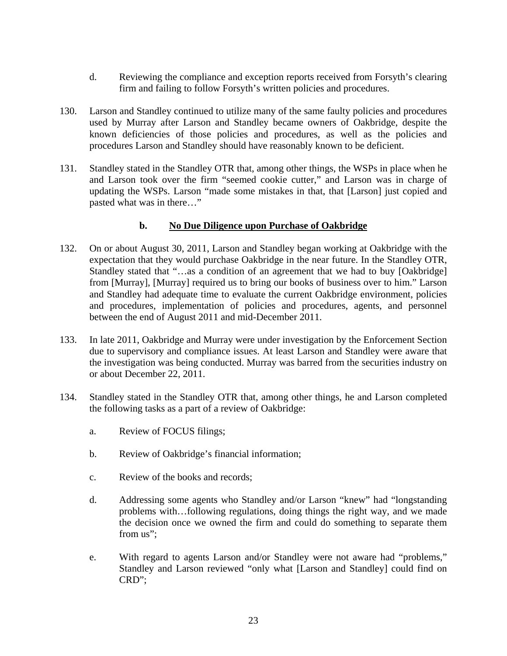- d. Reviewing the compliance and exception reports received from Forsyth's clearing firm and failing to follow Forsyth's written policies and procedures.
- 130. Larson and Standley continued to utilize many of the same faulty policies and procedures used by Murray after Larson and Standley became owners of Oakbridge, despite the known deficiencies of those policies and procedures, as well as the policies and procedures Larson and Standley should have reasonably known to be deficient.
- 131. Standley stated in the Standley OTR that, among other things, the WSPs in place when he and Larson took over the firm "seemed cookie cutter," and Larson was in charge of updating the WSPs. Larson "made some mistakes in that, that [Larson] just copied and pasted what was in there…"

## **b. No Due Diligence upon Purchase of Oakbridge**

- 132. On or about August 30, 2011, Larson and Standley began working at Oakbridge with the expectation that they would purchase Oakbridge in the near future. In the Standley OTR, Standley stated that "…as a condition of an agreement that we had to buy [Oakbridge] from [Murray], [Murray] required us to bring our books of business over to him." Larson and Standley had adequate time to evaluate the current Oakbridge environment, policies and procedures, implementation of policies and procedures, agents, and personnel between the end of August 2011 and mid-December 2011.
- 133. In late 2011, Oakbridge and Murray were under investigation by the Enforcement Section due to supervisory and compliance issues. At least Larson and Standley were aware that the investigation was being conducted. Murray was barred from the securities industry on or about December 22, 2011.
- 134. Standley stated in the Standley OTR that, among other things, he and Larson completed the following tasks as a part of a review of Oakbridge:
	- a. Review of FOCUS filings;
	- b. Review of Oakbridge's financial information;
	- c. Review of the books and records;
	- d. Addressing some agents who Standley and/or Larson "knew" had "longstanding problems with…following regulations, doing things the right way, and we made the decision once we owned the firm and could do something to separate them from us":
	- e. With regard to agents Larson and/or Standley were not aware had "problems," Standley and Larson reviewed "only what [Larson and Standley] could find on CRD";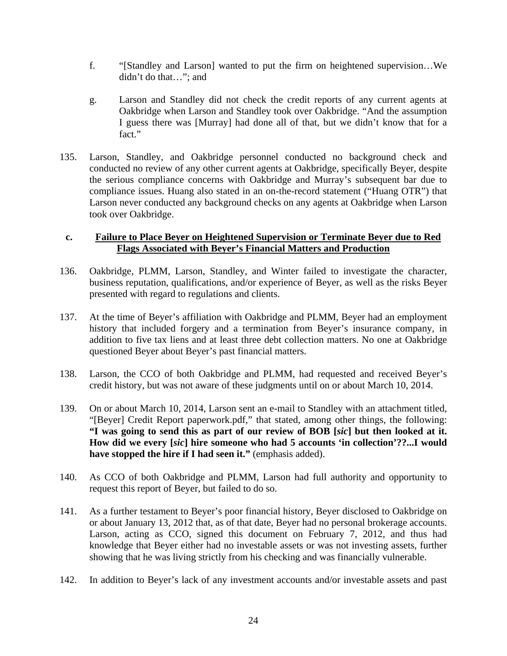- f. "[Standley and Larson] wanted to put the firm on heightened supervision…We didn't do that…"; and
- g. Larson and Standley did not check the credit reports of any current agents at Oakbridge when Larson and Standley took over Oakbridge. "And the assumption I guess there was [Murray] had done all of that, but we didn't know that for a fact."
- 135. Larson, Standley, and Oakbridge personnel conducted no background check and conducted no review of any other current agents at Oakbridge, specifically Beyer, despite the serious compliance concerns with Oakbridge and Murray's subsequent bar due to compliance issues. Huang also stated in an on-the-record statement ("Huang OTR") that Larson never conducted any background checks on any agents at Oakbridge when Larson took over Oakbridge.

#### **c. Failure to Place Beyer on Heightened Supervision or Terminate Beyer due to Red Flags Associated with Beyer's Financial Matters and Production**

- 136. Oakbridge, PLMM, Larson, Standley, and Winter failed to investigate the character, business reputation, qualifications, and/or experience of Beyer, as well as the risks Beyer presented with regard to regulations and clients.
- 137. At the time of Beyer's affiliation with Oakbridge and PLMM, Beyer had an employment history that included forgery and a termination from Beyer's insurance company, in addition to five tax liens and at least three debt collection matters. No one at Oakbridge questioned Beyer about Beyer's past financial matters.
- 138. Larson, the CCO of both Oakbridge and PLMM, had requested and received Beyer's credit history, but was not aware of these judgments until on or about March 10, 2014.
- 139. On or about March 10, 2014, Larson sent an e-mail to Standley with an attachment titled, "[Beyer] Credit Report paperwork.pdf," that stated, among other things, the following: **"I was going to send this as part of our review of BOB [***sic***] but then looked at it. How did we every [***sic***] hire someone who had 5 accounts 'in collection'??...I would have stopped the hire if I had seen it."** (emphasis added).
- 140. As CCO of both Oakbridge and PLMM, Larson had full authority and opportunity to request this report of Beyer, but failed to do so.
- 141. As a further testament to Beyer's poor financial history, Beyer disclosed to Oakbridge on or about January 13, 2012 that, as of that date, Beyer had no personal brokerage accounts. Larson, acting as CCO, signed this document on February 7, 2012, and thus had knowledge that Beyer either had no investable assets or was not investing assets, further showing that he was living strictly from his checking and was financially vulnerable.
- 142. In addition to Beyer's lack of any investment accounts and/or investable assets and past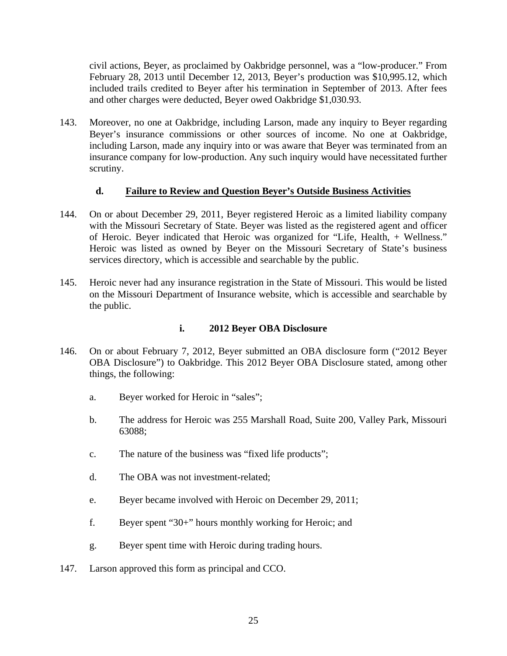civil actions, Beyer, as proclaimed by Oakbridge personnel, was a "low-producer." From February 28, 2013 until December 12, 2013, Beyer's production was \$10,995.12, which included trails credited to Beyer after his termination in September of 2013. After fees and other charges were deducted, Beyer owed Oakbridge \$1,030.93.

143. Moreover, no one at Oakbridge, including Larson, made any inquiry to Beyer regarding Beyer's insurance commissions or other sources of income. No one at Oakbridge, including Larson, made any inquiry into or was aware that Beyer was terminated from an insurance company for low-production. Any such inquiry would have necessitated further scrutiny.

### **d. Failure to Review and Question Beyer's Outside Business Activities**

- 144. On or about December 29, 2011, Beyer registered Heroic as a limited liability company with the Missouri Secretary of State. Beyer was listed as the registered agent and officer of Heroic. Beyer indicated that Heroic was organized for "Life, Health, + Wellness." Heroic was listed as owned by Beyer on the Missouri Secretary of State's business services directory, which is accessible and searchable by the public.
- 145. Heroic never had any insurance registration in the State of Missouri. This would be listed on the Missouri Department of Insurance website, which is accessible and searchable by the public.

## **i. 2012 Beyer OBA Disclosure**

- 146. On or about February 7, 2012, Beyer submitted an OBA disclosure form ("2012 Beyer OBA Disclosure") to Oakbridge. This 2012 Beyer OBA Disclosure stated, among other things, the following:
	- a. Beyer worked for Heroic in "sales";
	- b. The address for Heroic was 255 Marshall Road, Suite 200, Valley Park, Missouri 63088;
	- c. The nature of the business was "fixed life products";
	- d. The OBA was not investment-related;
	- e. Beyer became involved with Heroic on December 29, 2011;
	- f. Beyer spent "30+" hours monthly working for Heroic; and
	- g. Beyer spent time with Heroic during trading hours.
- 147. Larson approved this form as principal and CCO.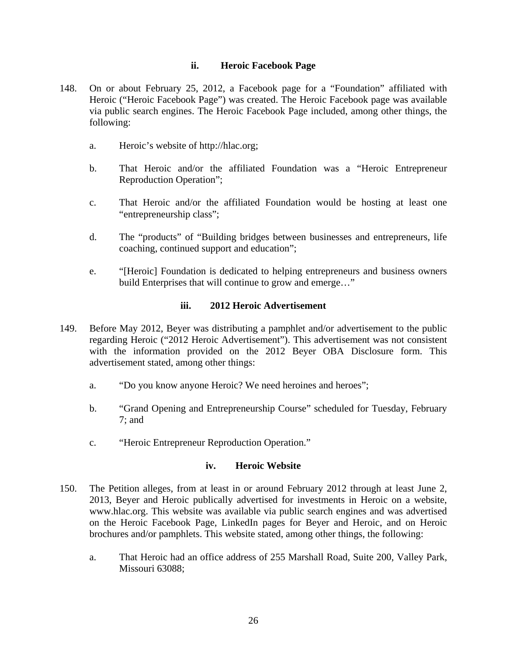#### **ii. Heroic Facebook Page**

- 148. On or about February 25, 2012, a Facebook page for a "Foundation" affiliated with Heroic ("Heroic Facebook Page") was created. The Heroic Facebook page was available via public search engines. The Heroic Facebook Page included, among other things, the following:
	- a. Heroic's website of http://hlac.org;
	- b. That Heroic and/or the affiliated Foundation was a "Heroic Entrepreneur Reproduction Operation";
	- c. That Heroic and/or the affiliated Foundation would be hosting at least one "entrepreneurship class";
	- d. The "products" of "Building bridges between businesses and entrepreneurs, life coaching, continued support and education";
	- e. "[Heroic] Foundation is dedicated to helping entrepreneurs and business owners build Enterprises that will continue to grow and emerge…"

#### **iii. 2012 Heroic Advertisement**

- 149. Before May 2012, Beyer was distributing a pamphlet and/or advertisement to the public regarding Heroic ("2012 Heroic Advertisement"). This advertisement was not consistent with the information provided on the 2012 Beyer OBA Disclosure form. This advertisement stated, among other things:
	- a. "Do you know anyone Heroic? We need heroines and heroes";
	- b. "Grand Opening and Entrepreneurship Course" scheduled for Tuesday, February 7; and
	- c. "Heroic Entrepreneur Reproduction Operation."

#### **iv. Heroic Website**

- 150. The Petition alleges, from at least in or around February 2012 through at least June 2, 2013, Beyer and Heroic publically advertised for investments in Heroic on a website, www.hlac.org. This website was available via public search engines and was advertised on the Heroic Facebook Page, LinkedIn pages for Beyer and Heroic, and on Heroic brochures and/or pamphlets. This website stated, among other things, the following:
	- a. That Heroic had an office address of 255 Marshall Road, Suite 200, Valley Park, Missouri 63088;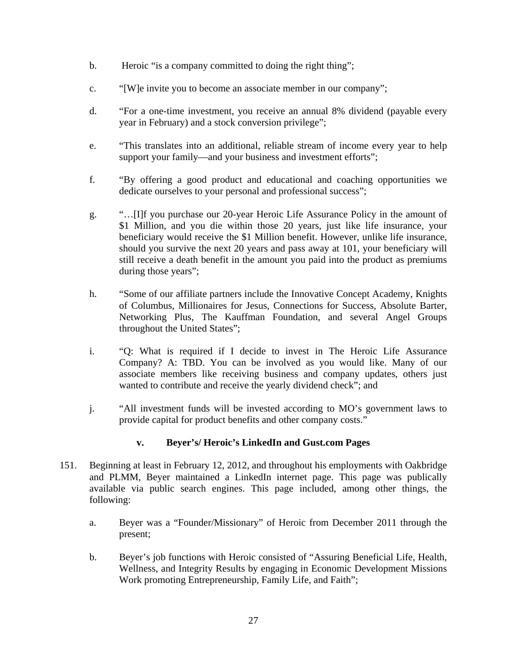- b. Heroic "is a company committed to doing the right thing";
- c. "[W]e invite you to become an associate member in our company";
- d. "For a one-time investment, you receive an annual 8% dividend (payable every year in February) and a stock conversion privilege";
- e. "This translates into an additional, reliable stream of income every year to help support your family—and your business and investment efforts";
- f. "By offering a good product and educational and coaching opportunities we dedicate ourselves to your personal and professional success";
- g. "…[I]f you purchase our 20-year Heroic Life Assurance Policy in the amount of \$1 Million, and you die within those 20 years, just like life insurance, your beneficiary would receive the \$1 Million benefit. However, unlike life insurance, should you survive the next 20 years and pass away at 101, your beneficiary will still receive a death benefit in the amount you paid into the product as premiums during those years";
- h. "Some of our affiliate partners include the Innovative Concept Academy, Knights of Columbus, Millionaires for Jesus, Connections for Success, Absolute Barter, Networking Plus, The Kauffman Foundation, and several Angel Groups throughout the United States";
- i. "Q: What is required if I decide to invest in The Heroic Life Assurance Company? A: TBD. You can be involved as you would like. Many of our associate members like receiving business and company updates, others just wanted to contribute and receive the yearly dividend check"; and
- j. "All investment funds will be invested according to MO's government laws to provide capital for product benefits and other company costs."

## **v. Beyer's/ Heroic's LinkedIn and Gust.com Pages**

- 151. Beginning at least in February 12, 2012, and throughout his employments with Oakbridge and PLMM, Beyer maintained a LinkedIn internet page. This page was publically available via public search engines. This page included, among other things, the following:
	- a. Beyer was a "Founder/Missionary" of Heroic from December 2011 through the present;
	- b. Beyer's job functions with Heroic consisted of "Assuring Beneficial Life, Health, Wellness, and Integrity Results by engaging in Economic Development Missions Work promoting Entrepreneurship, Family Life, and Faith";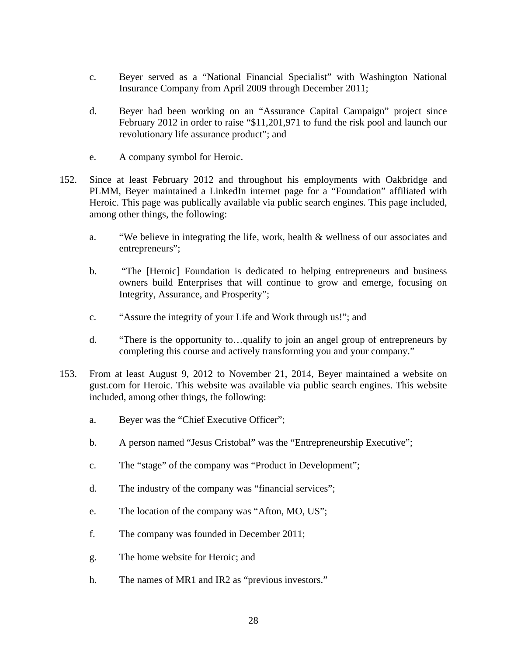- c. Beyer served as a "National Financial Specialist" with Washington National Insurance Company from April 2009 through December 2011;
- d. Beyer had been working on an "Assurance Capital Campaign" project since February 2012 in order to raise "\$11,201,971 to fund the risk pool and launch our revolutionary life assurance product"; and
- e. A company symbol for Heroic.
- 152. Since at least February 2012 and throughout his employments with Oakbridge and PLMM, Beyer maintained a LinkedIn internet page for a "Foundation" affiliated with Heroic. This page was publically available via public search engines. This page included, among other things, the following:
	- a. "We believe in integrating the life, work, health & wellness of our associates and entrepreneurs";
	- b. "The [Heroic] Foundation is dedicated to helping entrepreneurs and business owners build Enterprises that will continue to grow and emerge, focusing on Integrity, Assurance, and Prosperity";
	- c. "Assure the integrity of your Life and Work through us!"; and
	- d. "There is the opportunity to…qualify to join an angel group of entrepreneurs by completing this course and actively transforming you and your company."
- 153. From at least August 9, 2012 to November 21, 2014, Beyer maintained a website on gust.com for Heroic. This website was available via public search engines. This website included, among other things, the following:
	- a. Beyer was the "Chief Executive Officer";
	- b. A person named "Jesus Cristobal" was the "Entrepreneurship Executive";
	- c. The "stage" of the company was "Product in Development";
	- d. The industry of the company was "financial services";
	- e. The location of the company was "Afton, MO, US";
	- f. The company was founded in December 2011;
	- g. The home website for Heroic; and
	- h. The names of MR1 and IR2 as "previous investors."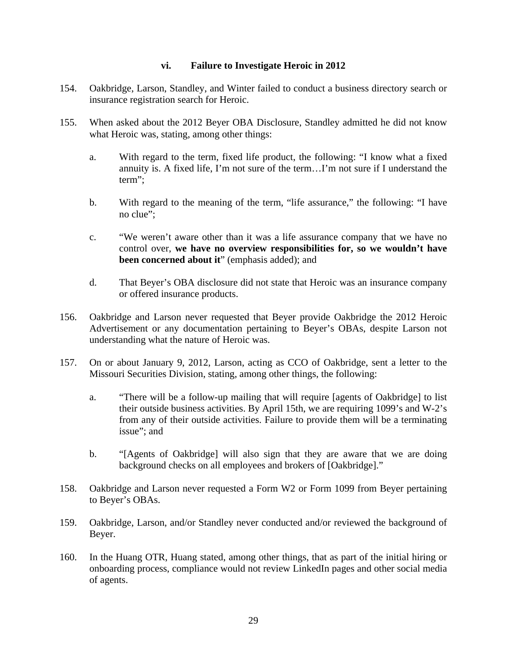#### **vi. Failure to Investigate Heroic in 2012**

- 154. Oakbridge, Larson, Standley, and Winter failed to conduct a business directory search or insurance registration search for Heroic.
- 155. When asked about the 2012 Beyer OBA Disclosure, Standley admitted he did not know what Heroic was, stating, among other things:
	- a. With regard to the term, fixed life product, the following: "I know what a fixed annuity is. A fixed life, I'm not sure of the term…I'm not sure if I understand the term";
	- b. With regard to the meaning of the term, "life assurance," the following: "I have no clue";
	- c. "We weren't aware other than it was a life assurance company that we have no control over, **we have no overview responsibilities for, so we wouldn't have been concerned about it**" (emphasis added); and
	- d. That Beyer's OBA disclosure did not state that Heroic was an insurance company or offered insurance products.
- 156. Oakbridge and Larson never requested that Beyer provide Oakbridge the 2012 Heroic Advertisement or any documentation pertaining to Beyer's OBAs, despite Larson not understanding what the nature of Heroic was.
- 157. On or about January 9, 2012, Larson, acting as CCO of Oakbridge, sent a letter to the Missouri Securities Division, stating, among other things, the following:
	- a. "There will be a follow-up mailing that will require [agents of Oakbridge] to list their outside business activities. By April 15th, we are requiring 1099's and W-2's from any of their outside activities. Failure to provide them will be a terminating issue"; and
	- b. "[Agents of Oakbridge] will also sign that they are aware that we are doing background checks on all employees and brokers of [Oakbridge]."
- 158. Oakbridge and Larson never requested a Form W2 or Form 1099 from Beyer pertaining to Beyer's OBAs.
- 159. Oakbridge, Larson, and/or Standley never conducted and/or reviewed the background of Beyer.
- 160. In the Huang OTR, Huang stated, among other things, that as part of the initial hiring or onboarding process, compliance would not review LinkedIn pages and other social media of agents.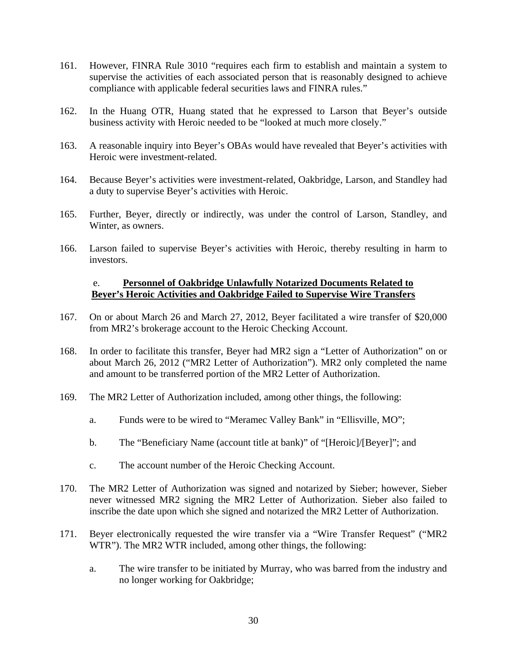- 161. However, FINRA Rule 3010 "requires each firm to establish and maintain a system to supervise the activities of each associated person that is reasonably designed to achieve compliance with applicable federal securities laws and FINRA rules."
- 162. In the Huang OTR, Huang stated that he expressed to Larson that Beyer's outside business activity with Heroic needed to be "looked at much more closely."
- 163. A reasonable inquiry into Beyer's OBAs would have revealed that Beyer's activities with Heroic were investment-related.
- 164. Because Beyer's activities were investment-related, Oakbridge, Larson, and Standley had a duty to supervise Beyer's activities with Heroic.
- 165. Further, Beyer, directly or indirectly, was under the control of Larson, Standley, and Winter, as owners.
- 166. Larson failed to supervise Beyer's activities with Heroic, thereby resulting in harm to investors.

#### e. **Personnel of Oakbridge Unlawfully Notarized Documents Related to Beyer's Heroic Activities and Oakbridge Failed to Supervise Wire Transfers**

- 167. On or about March 26 and March 27, 2012, Beyer facilitated a wire transfer of \$20,000 from MR2's brokerage account to the Heroic Checking Account.
- 168. In order to facilitate this transfer, Beyer had MR2 sign a "Letter of Authorization" on or about March 26, 2012 ("MR2 Letter of Authorization"). MR2 only completed the name and amount to be transferred portion of the MR2 Letter of Authorization.
- 169. The MR2 Letter of Authorization included, among other things, the following:
	- a. Funds were to be wired to "Meramec Valley Bank" in "Ellisville, MO";
	- b. The "Beneficiary Name (account title at bank)" of "[Heroic]/[Beyer]"; and
	- c. The account number of the Heroic Checking Account.
- 170. The MR2 Letter of Authorization was signed and notarized by Sieber; however, Sieber never witnessed MR2 signing the MR2 Letter of Authorization. Sieber also failed to inscribe the date upon which she signed and notarized the MR2 Letter of Authorization.
- 171. Beyer electronically requested the wire transfer via a "Wire Transfer Request" ("MR2 WTR"). The MR2 WTR included, among other things, the following:
	- a. The wire transfer to be initiated by Murray, who was barred from the industry and no longer working for Oakbridge;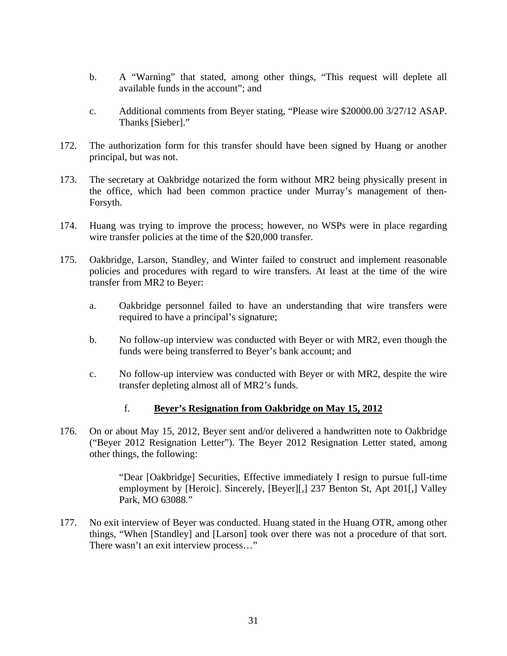- b. A "Warning" that stated, among other things, "This request will deplete all available funds in the account"; and
- c. Additional comments from Beyer stating, "Please wire \$20000.00 3/27/12 ASAP. Thanks [Sieber]."
- 172. The authorization form for this transfer should have been signed by Huang or another principal, but was not.
- 173. The secretary at Oakbridge notarized the form without MR2 being physically present in the office, which had been common practice under Murray's management of then-Forsyth.
- 174. Huang was trying to improve the process; however, no WSPs were in place regarding wire transfer policies at the time of the \$20,000 transfer.
- 175. Oakbridge, Larson, Standley, and Winter failed to construct and implement reasonable policies and procedures with regard to wire transfers. At least at the time of the wire transfer from MR2 to Beyer:
	- a. Oakbridge personnel failed to have an understanding that wire transfers were required to have a principal's signature;
	- b. No follow-up interview was conducted with Beyer or with MR2, even though the funds were being transferred to Beyer's bank account; and
	- c. No follow-up interview was conducted with Beyer or with MR2, despite the wire transfer depleting almost all of MR2's funds.

#### f. **Beyer's Resignation from Oakbridge on May 15, 2012**

176. On or about May 15, 2012, Beyer sent and/or delivered a handwritten note to Oakbridge ("Beyer 2012 Resignation Letter"). The Beyer 2012 Resignation Letter stated, among other things, the following:

> "Dear [Oakbridge] Securities, Effective immediately I resign to pursue full-time employment by [Heroic]. Sincerely, [Beyer][,] 237 Benton St, Apt 201[,] Valley Park, MO 63088."

177. No exit interview of Beyer was conducted. Huang stated in the Huang OTR, among other things, "When [Standley] and [Larson] took over there was not a procedure of that sort. There wasn't an exit interview process..."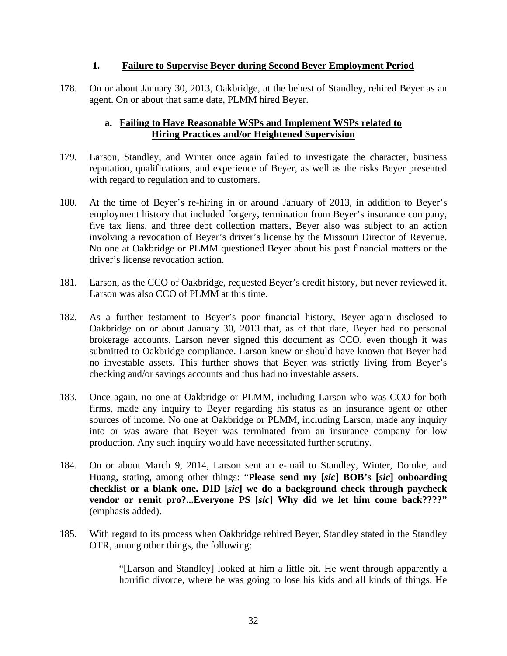#### **1. Failure to Supervise Beyer during Second Beyer Employment Period**

178. On or about January 30, 2013, Oakbridge, at the behest of Standley, rehired Beyer as an agent. On or about that same date, PLMM hired Beyer.

## **a. Failing to Have Reasonable WSPs and Implement WSPs related to Hiring Practices and/or Heightened Supervision**

- 179. Larson, Standley, and Winter once again failed to investigate the character, business reputation, qualifications, and experience of Beyer, as well as the risks Beyer presented with regard to regulation and to customers.
- 180. At the time of Beyer's re-hiring in or around January of 2013, in addition to Beyer's employment history that included forgery, termination from Beyer's insurance company, five tax liens, and three debt collection matters, Beyer also was subject to an action involving a revocation of Beyer's driver's license by the Missouri Director of Revenue. No one at Oakbridge or PLMM questioned Beyer about his past financial matters or the driver's license revocation action.
- 181. Larson, as the CCO of Oakbridge, requested Beyer's credit history, but never reviewed it. Larson was also CCO of PLMM at this time.
- 182. As a further testament to Beyer's poor financial history, Beyer again disclosed to Oakbridge on or about January 30, 2013 that, as of that date, Beyer had no personal brokerage accounts. Larson never signed this document as CCO, even though it was submitted to Oakbridge compliance. Larson knew or should have known that Beyer had no investable assets. This further shows that Beyer was strictly living from Beyer's checking and/or savings accounts and thus had no investable assets.
- 183. Once again, no one at Oakbridge or PLMM, including Larson who was CCO for both firms, made any inquiry to Beyer regarding his status as an insurance agent or other sources of income. No one at Oakbridge or PLMM, including Larson, made any inquiry into or was aware that Beyer was terminated from an insurance company for low production. Any such inquiry would have necessitated further scrutiny.
- 184. On or about March 9, 2014, Larson sent an e-mail to Standley, Winter, Domke, and Huang, stating, among other things: "**Please send my [***sic***] BOB's [***sic***] onboarding checklist or a blank one. DID [***sic***] we do a background check through paycheck vendor or remit pro?...Everyone PS [***sic***] Why did we let him come back????"**  (emphasis added).
- 185. With regard to its process when Oakbridge rehired Beyer, Standley stated in the Standley OTR, among other things, the following:

"[Larson and Standley] looked at him a little bit. He went through apparently a horrific divorce, where he was going to lose his kids and all kinds of things. He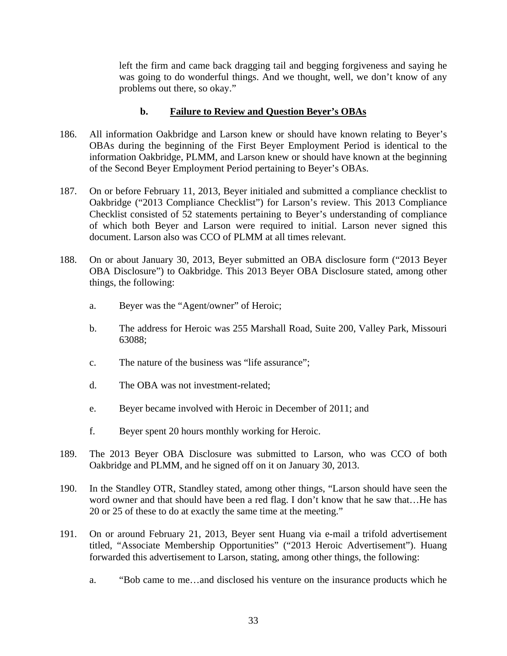left the firm and came back dragging tail and begging forgiveness and saying he was going to do wonderful things. And we thought, well, we don't know of any problems out there, so okay."

### **b. Failure to Review and Question Beyer's OBAs**

- 186. All information Oakbridge and Larson knew or should have known relating to Beyer's OBAs during the beginning of the First Beyer Employment Period is identical to the information Oakbridge, PLMM, and Larson knew or should have known at the beginning of the Second Beyer Employment Period pertaining to Beyer's OBAs.
- 187. On or before February 11, 2013, Beyer initialed and submitted a compliance checklist to Oakbridge ("2013 Compliance Checklist") for Larson's review. This 2013 Compliance Checklist consisted of 52 statements pertaining to Beyer's understanding of compliance of which both Beyer and Larson were required to initial. Larson never signed this document. Larson also was CCO of PLMM at all times relevant.
- 188. On or about January 30, 2013, Beyer submitted an OBA disclosure form ("2013 Beyer OBA Disclosure") to Oakbridge. This 2013 Beyer OBA Disclosure stated, among other things, the following:
	- a. Beyer was the "Agent/owner" of Heroic;
	- b. The address for Heroic was 255 Marshall Road, Suite 200, Valley Park, Missouri 63088;
	- c. The nature of the business was "life assurance";
	- d. The OBA was not investment-related;
	- e. Beyer became involved with Heroic in December of 2011; and
	- f. Beyer spent 20 hours monthly working for Heroic.
- 189. The 2013 Beyer OBA Disclosure was submitted to Larson, who was CCO of both Oakbridge and PLMM, and he signed off on it on January 30, 2013.
- 190. In the Standley OTR, Standley stated, among other things, "Larson should have seen the word owner and that should have been a red flag. I don't know that he saw that...He has 20 or 25 of these to do at exactly the same time at the meeting."
- 191. On or around February 21, 2013, Beyer sent Huang via e-mail a trifold advertisement titled, "Associate Membership Opportunities" ("2013 Heroic Advertisement"). Huang forwarded this advertisement to Larson, stating, among other things, the following:
	- a. "Bob came to me…and disclosed his venture on the insurance products which he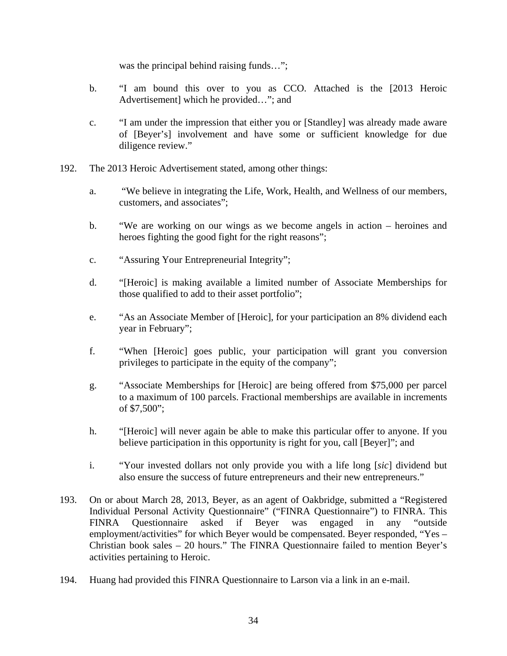was the principal behind raising funds...";

- b. "I am bound this over to you as CCO. Attached is the [2013 Heroic Advertisement] which he provided…"; and
- c. "I am under the impression that either you or [Standley] was already made aware of [Beyer's] involvement and have some or sufficient knowledge for due diligence review."
- 192. The 2013 Heroic Advertisement stated, among other things:
	- a. "We believe in integrating the Life, Work, Health, and Wellness of our members, customers, and associates";
	- b. "We are working on our wings as we become angels in action heroines and heroes fighting the good fight for the right reasons";
	- c. "Assuring Your Entrepreneurial Integrity";
	- d. "[Heroic] is making available a limited number of Associate Memberships for those qualified to add to their asset portfolio";
	- e. "As an Associate Member of [Heroic], for your participation an 8% dividend each year in February";
	- f. "When [Heroic] goes public, your participation will grant you conversion privileges to participate in the equity of the company";
	- g. "Associate Memberships for [Heroic] are being offered from \$75,000 per parcel to a maximum of 100 parcels. Fractional memberships are available in increments of \$7,500";
	- h. "[Heroic] will never again be able to make this particular offer to anyone. If you believe participation in this opportunity is right for you, call [Beyer]"; and
	- i. "Your invested dollars not only provide you with a life long [*sic*] dividend but also ensure the success of future entrepreneurs and their new entrepreneurs."
- 193. On or about March 28, 2013, Beyer, as an agent of Oakbridge, submitted a "Registered Individual Personal Activity Questionnaire" ("FINRA Questionnaire") to FINRA. This FINRA Questionnaire asked if Beyer was engaged in any "outside employment/activities" for which Beyer would be compensated. Beyer responded, "Yes – Christian book sales – 20 hours." The FINRA Questionnaire failed to mention Beyer's activities pertaining to Heroic.
- 194. Huang had provided this FINRA Questionnaire to Larson via a link in an e-mail.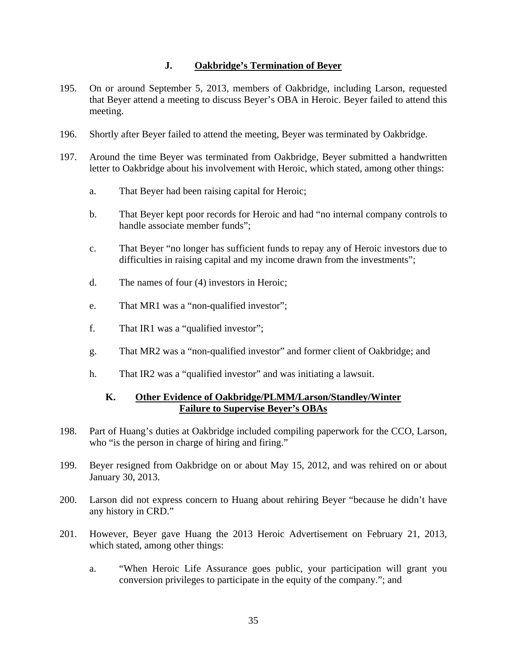## **J. Oakbridge's Termination of Beyer**

- 195. On or around September 5, 2013, members of Oakbridge, including Larson, requested that Beyer attend a meeting to discuss Beyer's OBA in Heroic. Beyer failed to attend this meeting.
- 196. Shortly after Beyer failed to attend the meeting, Beyer was terminated by Oakbridge.
- 197. Around the time Beyer was terminated from Oakbridge, Beyer submitted a handwritten letter to Oakbridge about his involvement with Heroic, which stated, among other things:
	- a. That Beyer had been raising capital for Heroic;
	- b. That Beyer kept poor records for Heroic and had "no internal company controls to handle associate member funds";
	- c. That Beyer "no longer has sufficient funds to repay any of Heroic investors due to difficulties in raising capital and my income drawn from the investments";
	- d. The names of four (4) investors in Heroic;
	- e. That MR1 was a "non-qualified investor";
	- f. That IR1 was a "qualified investor";
	- g. That MR2 was a "non-qualified investor" and former client of Oakbridge; and
	- h. That IR2 was a "qualified investor" and was initiating a lawsuit.

#### **K. Other Evidence of Oakbridge/PLMM/Larson/Standley/Winter Failure to Supervise Beyer's OBAs**

- 198. Part of Huang's duties at Oakbridge included compiling paperwork for the CCO, Larson, who "is the person in charge of hiring and firing."
- 199. Beyer resigned from Oakbridge on or about May 15, 2012, and was rehired on or about January 30, 2013.
- 200. Larson did not express concern to Huang about rehiring Beyer "because he didn't have any history in CRD."
- 201. However, Beyer gave Huang the 2013 Heroic Advertisement on February 21, 2013, which stated, among other things:
	- a. "When Heroic Life Assurance goes public, your participation will grant you conversion privileges to participate in the equity of the company."; and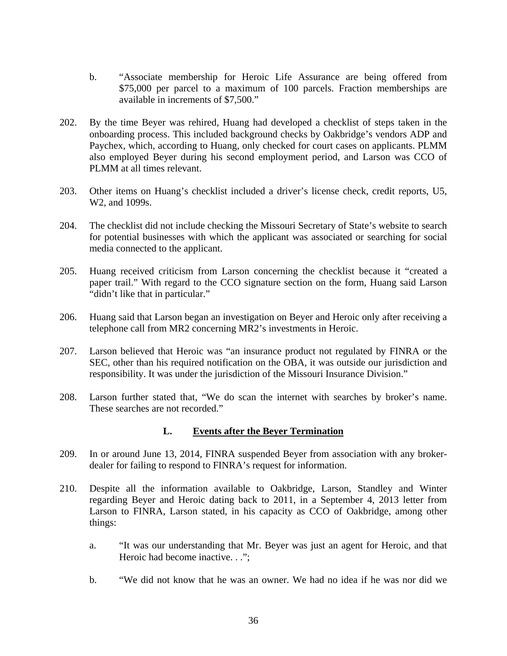- b. "Associate membership for Heroic Life Assurance are being offered from \$75,000 per parcel to a maximum of 100 parcels. Fraction memberships are available in increments of \$7,500."
- 202. By the time Beyer was rehired, Huang had developed a checklist of steps taken in the onboarding process. This included background checks by Oakbridge's vendors ADP and Paychex, which, according to Huang, only checked for court cases on applicants. PLMM also employed Beyer during his second employment period, and Larson was CCO of PLMM at all times relevant.
- 203. Other items on Huang's checklist included a driver's license check, credit reports, U5, W2, and 1099s.
- 204. The checklist did not include checking the Missouri Secretary of State's website to search for potential businesses with which the applicant was associated or searching for social media connected to the applicant.
- 205. Huang received criticism from Larson concerning the checklist because it "created a paper trail." With regard to the CCO signature section on the form, Huang said Larson "didn't like that in particular."
- 206. Huang said that Larson began an investigation on Beyer and Heroic only after receiving a telephone call from MR2 concerning MR2's investments in Heroic.
- 207. Larson believed that Heroic was "an insurance product not regulated by FINRA or the SEC, other than his required notification on the OBA, it was outside our jurisdiction and responsibility. It was under the jurisdiction of the Missouri Insurance Division."
- 208. Larson further stated that, "We do scan the internet with searches by broker's name. These searches are not recorded."

#### **L. Events after the Beyer Termination**

- 209. In or around June 13, 2014, FINRA suspended Beyer from association with any brokerdealer for failing to respond to FINRA's request for information.
- 210. Despite all the information available to Oakbridge, Larson, Standley and Winter regarding Beyer and Heroic dating back to 2011, in a September 4, 2013 letter from Larson to FINRA, Larson stated, in his capacity as CCO of Oakbridge, among other things:
	- a. "It was our understanding that Mr. Beyer was just an agent for Heroic, and that Heroic had become inactive. . .":
	- b. "We did not know that he was an owner. We had no idea if he was nor did we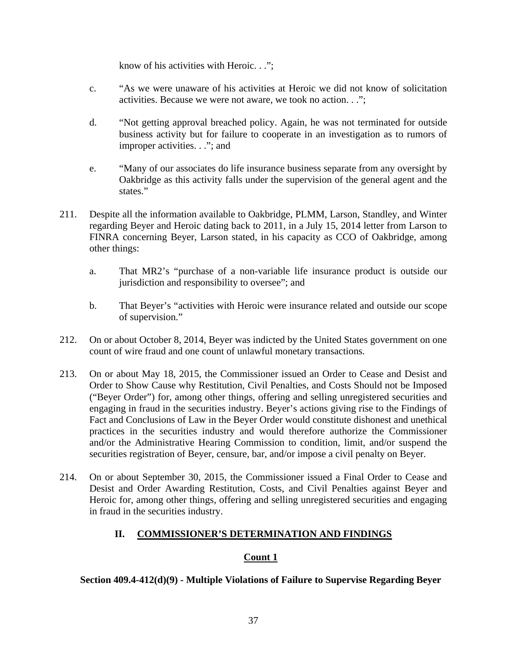know of his activities with Heroic. . .";

- c. "As we were unaware of his activities at Heroic we did not know of solicitation activities. Because we were not aware, we took no action. . .";
- d. "Not getting approval breached policy. Again, he was not terminated for outside business activity but for failure to cooperate in an investigation as to rumors of improper activities. . ."; and
- e. "Many of our associates do life insurance business separate from any oversight by Oakbridge as this activity falls under the supervision of the general agent and the states."
- 211. Despite all the information available to Oakbridge, PLMM, Larson, Standley, and Winter regarding Beyer and Heroic dating back to 2011, in a July 15, 2014 letter from Larson to FINRA concerning Beyer, Larson stated, in his capacity as CCO of Oakbridge, among other things:
	- a. That MR2's "purchase of a non-variable life insurance product is outside our jurisdiction and responsibility to oversee"; and
	- b. That Beyer's "activities with Heroic were insurance related and outside our scope of supervision."
- 212. On or about October 8, 2014, Beyer was indicted by the United States government on one count of wire fraud and one count of unlawful monetary transactions.
- 213. On or about May 18, 2015, the Commissioner issued an Order to Cease and Desist and Order to Show Cause why Restitution, Civil Penalties, and Costs Should not be Imposed ("Beyer Order") for, among other things, offering and selling unregistered securities and engaging in fraud in the securities industry. Beyer's actions giving rise to the Findings of Fact and Conclusions of Law in the Beyer Order would constitute dishonest and unethical practices in the securities industry and would therefore authorize the Commissioner and/or the Administrative Hearing Commission to condition, limit, and/or suspend the securities registration of Beyer, censure, bar, and/or impose a civil penalty on Beyer.
- 214. On or about September 30, 2015, the Commissioner issued a Final Order to Cease and Desist and Order Awarding Restitution, Costs, and Civil Penalties against Beyer and Heroic for, among other things, offering and selling unregistered securities and engaging in fraud in the securities industry.

## **II. COMMISSIONER'S DETERMINATION AND FINDINGS**

## **Count 1**

#### **Section 409.4-412(d)(9) - Multiple Violations of Failure to Supervise Regarding Beyer**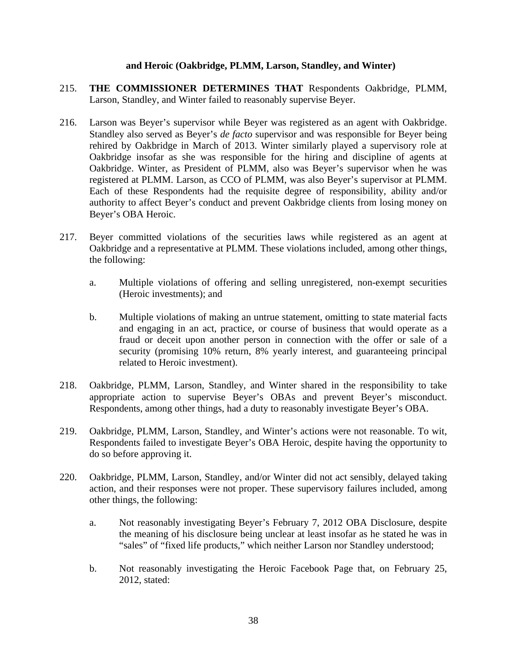#### **and Heroic (Oakbridge, PLMM, Larson, Standley, and Winter)**

- 215. **THE COMMISSIONER DETERMINES THAT** Respondents Oakbridge, PLMM, Larson, Standley, and Winter failed to reasonably supervise Beyer.
- 216. Larson was Beyer's supervisor while Beyer was registered as an agent with Oakbridge. Standley also served as Beyer's *de facto* supervisor and was responsible for Beyer being rehired by Oakbridge in March of 2013. Winter similarly played a supervisory role at Oakbridge insofar as she was responsible for the hiring and discipline of agents at Oakbridge. Winter, as President of PLMM, also was Beyer's supervisor when he was registered at PLMM. Larson, as CCO of PLMM, was also Beyer's supervisor at PLMM. Each of these Respondents had the requisite degree of responsibility, ability and/or authority to affect Beyer's conduct and prevent Oakbridge clients from losing money on Beyer's OBA Heroic.
- 217. Beyer committed violations of the securities laws while registered as an agent at Oakbridge and a representative at PLMM. These violations included, among other things, the following:
	- a. Multiple violations of offering and selling unregistered, non-exempt securities (Heroic investments); and
	- b. Multiple violations of making an untrue statement, omitting to state material facts and engaging in an act, practice, or course of business that would operate as a fraud or deceit upon another person in connection with the offer or sale of a security (promising 10% return, 8% yearly interest, and guaranteeing principal related to Heroic investment).
- 218. Oakbridge, PLMM, Larson, Standley, and Winter shared in the responsibility to take appropriate action to supervise Beyer's OBAs and prevent Beyer's misconduct. Respondents, among other things, had a duty to reasonably investigate Beyer's OBA.
- 219. Oakbridge, PLMM, Larson, Standley, and Winter's actions were not reasonable. To wit, Respondents failed to investigate Beyer's OBA Heroic, despite having the opportunity to do so before approving it.
- 220. Oakbridge, PLMM, Larson, Standley, and/or Winter did not act sensibly, delayed taking action, and their responses were not proper. These supervisory failures included, among other things, the following:
	- a. Not reasonably investigating Beyer's February 7, 2012 OBA Disclosure, despite the meaning of his disclosure being unclear at least insofar as he stated he was in "sales" of "fixed life products," which neither Larson nor Standley understood;
	- b. Not reasonably investigating the Heroic Facebook Page that, on February 25, 2012, stated: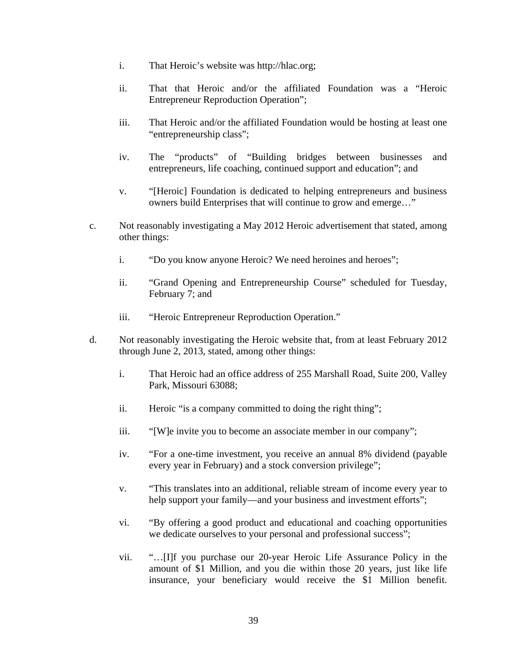- i. That Heroic's website was http://hlac.org;
- ii. That that Heroic and/or the affiliated Foundation was a "Heroic Entrepreneur Reproduction Operation";
- iii. That Heroic and/or the affiliated Foundation would be hosting at least one "entrepreneurship class";
- iv. The "products" of "Building bridges between businesses and entrepreneurs, life coaching, continued support and education"; and
- v. "[Heroic] Foundation is dedicated to helping entrepreneurs and business owners build Enterprises that will continue to grow and emerge…"
- c. Not reasonably investigating a May 2012 Heroic advertisement that stated, among other things:
	- i. "Do you know anyone Heroic? We need heroines and heroes";
	- ii. "Grand Opening and Entrepreneurship Course" scheduled for Tuesday, February 7; and
	- iii. "Heroic Entrepreneur Reproduction Operation."
- d. Not reasonably investigating the Heroic website that, from at least February 2012 through June 2, 2013, stated, among other things:
	- i. That Heroic had an office address of 255 Marshall Road, Suite 200, Valley Park, Missouri 63088;
	- ii. Heroic "is a company committed to doing the right thing";
	- iii. "[W]e invite you to become an associate member in our company";
	- iv. "For a one-time investment, you receive an annual 8% dividend (payable every year in February) and a stock conversion privilege";
	- v. "This translates into an additional, reliable stream of income every year to help support your family—and your business and investment efforts";
	- vi. "By offering a good product and educational and coaching opportunities we dedicate ourselves to your personal and professional success";
	- vii. "…[I]f you purchase our 20-year Heroic Life Assurance Policy in the amount of \$1 Million, and you die within those 20 years, just like life insurance, your beneficiary would receive the \$1 Million benefit.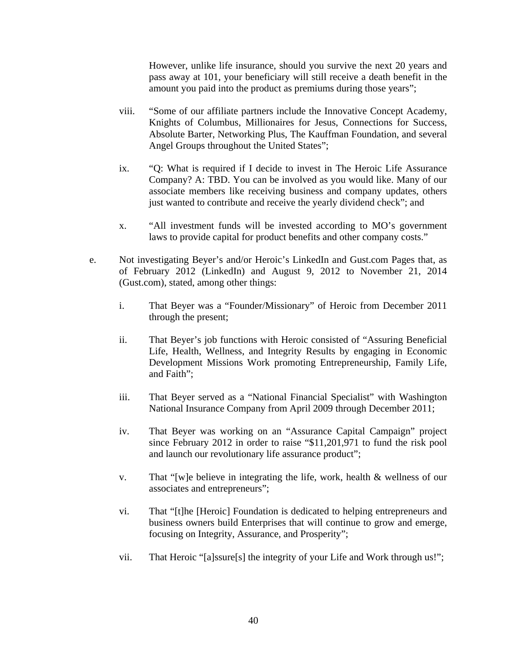However, unlike life insurance, should you survive the next 20 years and pass away at 101, your beneficiary will still receive a death benefit in the amount you paid into the product as premiums during those years";

- viii. "Some of our affiliate partners include the Innovative Concept Academy, Knights of Columbus, Millionaires for Jesus, Connections for Success, Absolute Barter, Networking Plus, The Kauffman Foundation, and several Angel Groups throughout the United States";
- ix. "Q: What is required if I decide to invest in The Heroic Life Assurance Company? A: TBD. You can be involved as you would like. Many of our associate members like receiving business and company updates, others just wanted to contribute and receive the yearly dividend check"; and
- x. "All investment funds will be invested according to MO's government laws to provide capital for product benefits and other company costs."
- e. Not investigating Beyer's and/or Heroic's LinkedIn and Gust.com Pages that, as of February 2012 (LinkedIn) and August 9, 2012 to November 21, 2014 (Gust.com), stated, among other things:
	- i. That Beyer was a "Founder/Missionary" of Heroic from December 2011 through the present;
	- ii. That Beyer's job functions with Heroic consisted of "Assuring Beneficial Life, Health, Wellness, and Integrity Results by engaging in Economic Development Missions Work promoting Entrepreneurship, Family Life, and Faith";
	- iii. That Beyer served as a "National Financial Specialist" with Washington National Insurance Company from April 2009 through December 2011;
	- iv. That Beyer was working on an "Assurance Capital Campaign" project since February 2012 in order to raise "\$11,201,971 to fund the risk pool and launch our revolutionary life assurance product";
	- v. That "[w]e believe in integrating the life, work, health & wellness of our associates and entrepreneurs";
	- vi. That "[t]he [Heroic] Foundation is dedicated to helping entrepreneurs and business owners build Enterprises that will continue to grow and emerge, focusing on Integrity, Assurance, and Prosperity";
	- vii. That Heroic "[a]ssure[s] the integrity of your Life and Work through us!";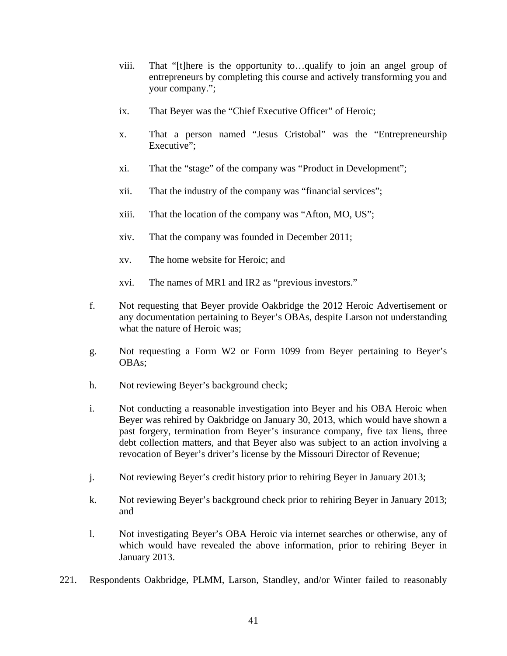- viii. That "[t]here is the opportunity to…qualify to join an angel group of entrepreneurs by completing this course and actively transforming you and your company.";
- ix. That Beyer was the "Chief Executive Officer" of Heroic;
- x. That a person named "Jesus Cristobal" was the "Entrepreneurship Executive";
- xi. That the "stage" of the company was "Product in Development";
- xii. That the industry of the company was "financial services";
- xiii. That the location of the company was "Afton, MO, US";
- xiv. That the company was founded in December 2011;
- xv. The home website for Heroic; and
- xvi. The names of MR1 and IR2 as "previous investors."
- f. Not requesting that Beyer provide Oakbridge the 2012 Heroic Advertisement or any documentation pertaining to Beyer's OBAs, despite Larson not understanding what the nature of Heroic was;
- g. Not requesting a Form W2 or Form 1099 from Beyer pertaining to Beyer's OBAs;
- h. Not reviewing Beyer's background check;
- i. Not conducting a reasonable investigation into Beyer and his OBA Heroic when Beyer was rehired by Oakbridge on January 30, 2013, which would have shown a past forgery, termination from Beyer's insurance company, five tax liens, three debt collection matters, and that Beyer also was subject to an action involving a revocation of Beyer's driver's license by the Missouri Director of Revenue;
- j. Not reviewing Beyer's credit history prior to rehiring Beyer in January 2013;
- k. Not reviewing Beyer's background check prior to rehiring Beyer in January 2013; and
- l. Not investigating Beyer's OBA Heroic via internet searches or otherwise, any of which would have revealed the above information, prior to rehiring Beyer in January 2013.
- 221. Respondents Oakbridge, PLMM, Larson, Standley, and/or Winter failed to reasonably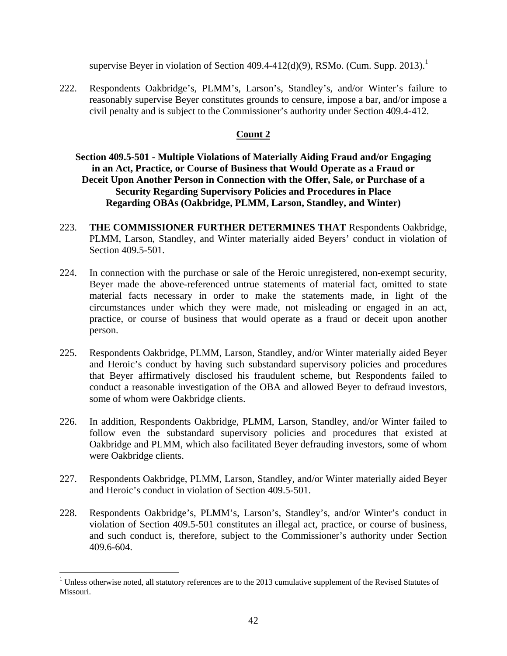supervise Beyer in violation of Section  $409.4-412(d)(9)$ , RSMo. (Cum. Supp. 2013).<sup>1</sup>

222. Respondents Oakbridge's, PLMM's, Larson's, Standley's, and/or Winter's failure to reasonably supervise Beyer constitutes grounds to censure, impose a bar, and/or impose a civil penalty and is subject to the Commissioner's authority under Section 409.4-412.

## **Count 2**

## **Section 409.5-501 - Multiple Violations of Materially Aiding Fraud and/or Engaging in an Act, Practice, or Course of Business that Would Operate as a Fraud or Deceit Upon Another Person in Connection with the Offer, Sale, or Purchase of a Security Regarding Supervisory Policies and Procedures in Place Regarding OBAs (Oakbridge, PLMM, Larson, Standley, and Winter)**

- 223. **THE COMMISSIONER FURTHER DETERMINES THAT** Respondents Oakbridge, PLMM, Larson, Standley, and Winter materially aided Beyers' conduct in violation of Section 409.5-501.
- 224. In connection with the purchase or sale of the Heroic unregistered, non-exempt security, Beyer made the above-referenced untrue statements of material fact, omitted to state material facts necessary in order to make the statements made, in light of the circumstances under which they were made, not misleading or engaged in an act, practice, or course of business that would operate as a fraud or deceit upon another person.
- 225. Respondents Oakbridge, PLMM, Larson, Standley, and/or Winter materially aided Beyer and Heroic's conduct by having such substandard supervisory policies and procedures that Beyer affirmatively disclosed his fraudulent scheme, but Respondents failed to conduct a reasonable investigation of the OBA and allowed Beyer to defraud investors, some of whom were Oakbridge clients.
- 226. In addition, Respondents Oakbridge, PLMM, Larson, Standley, and/or Winter failed to follow even the substandard supervisory policies and procedures that existed at Oakbridge and PLMM, which also facilitated Beyer defrauding investors, some of whom were Oakbridge clients.
- 227. Respondents Oakbridge, PLMM, Larson, Standley, and/or Winter materially aided Beyer and Heroic's conduct in violation of Section 409.5-501.
- 228. Respondents Oakbridge's, PLMM's, Larson's, Standley's, and/or Winter's conduct in violation of Section 409.5-501 constitutes an illegal act, practice, or course of business, and such conduct is, therefore, subject to the Commissioner's authority under Section 409.6-604.

 $\overline{a}$ 

 $1$  Unless otherwise noted, all statutory references are to the 2013 cumulative supplement of the Revised Statutes of Missouri.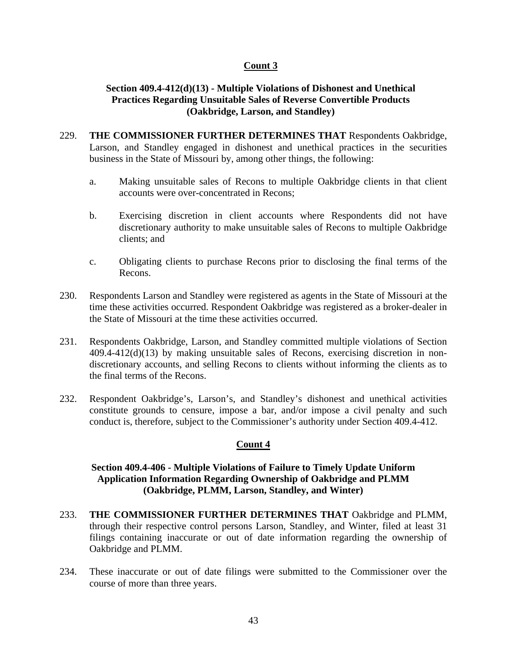## **Count 3**

### **Section 409.4-412(d)(13) - Multiple Violations of Dishonest and Unethical Practices Regarding Unsuitable Sales of Reverse Convertible Products (Oakbridge, Larson, and Standley)**

- 229. **THE COMMISSIONER FURTHER DETERMINES THAT** Respondents Oakbridge, Larson, and Standley engaged in dishonest and unethical practices in the securities business in the State of Missouri by, among other things, the following:
	- a. Making unsuitable sales of Recons to multiple Oakbridge clients in that client accounts were over-concentrated in Recons;
	- b. Exercising discretion in client accounts where Respondents did not have discretionary authority to make unsuitable sales of Recons to multiple Oakbridge clients; and
	- c. Obligating clients to purchase Recons prior to disclosing the final terms of the Recons.
- 230. Respondents Larson and Standley were registered as agents in the State of Missouri at the time these activities occurred. Respondent Oakbridge was registered as a broker-dealer in the State of Missouri at the time these activities occurred.
- 231. Respondents Oakbridge, Larson, and Standley committed multiple violations of Section 409.4-412(d)(13) by making unsuitable sales of Recons, exercising discretion in nondiscretionary accounts, and selling Recons to clients without informing the clients as to the final terms of the Recons.
- 232. Respondent Oakbridge's, Larson's, and Standley's dishonest and unethical activities constitute grounds to censure, impose a bar, and/or impose a civil penalty and such conduct is, therefore, subject to the Commissioner's authority under Section 409.4-412.

## **Count 4**

## **Section 409.4-406 - Multiple Violations of Failure to Timely Update Uniform Application Information Regarding Ownership of Oakbridge and PLMM (Oakbridge, PLMM, Larson, Standley, and Winter)**

- 233. **THE COMMISSIONER FURTHER DETERMINES THAT** Oakbridge and PLMM, through their respective control persons Larson, Standley, and Winter, filed at least 31 filings containing inaccurate or out of date information regarding the ownership of Oakbridge and PLMM.
- 234. These inaccurate or out of date filings were submitted to the Commissioner over the course of more than three years.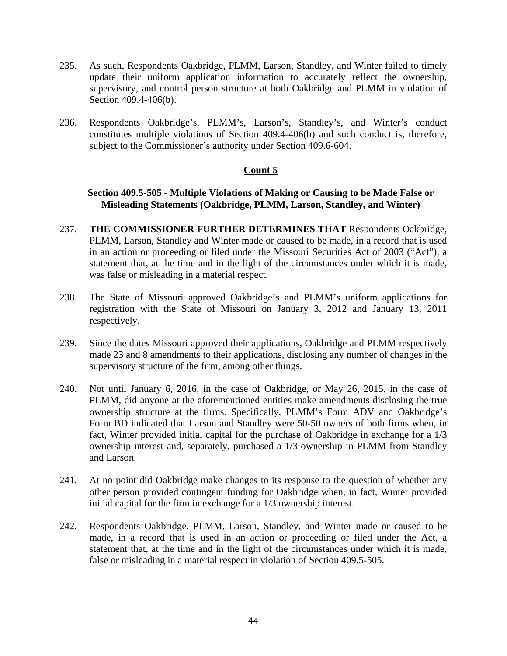- 235. As such, Respondents Oakbridge, PLMM, Larson, Standley, and Winter failed to timely update their uniform application information to accurately reflect the ownership, supervisory, and control person structure at both Oakbridge and PLMM in violation of Section 409.4-406(b).
- 236. Respondents Oakbridge's, PLMM's, Larson's, Standley's, and Winter's conduct constitutes multiple violations of Section 409.4-406(b) and such conduct is, therefore, subject to the Commissioner's authority under Section 409.6-604.

### **Count 5**

#### **Section 409.5-505 - Multiple Violations of Making or Causing to be Made False or Misleading Statements (Oakbridge, PLMM, Larson, Standley, and Winter)**

- 237. **THE COMMISSIONER FURTHER DETERMINES THAT** Respondents Oakbridge, PLMM, Larson, Standley and Winter made or caused to be made, in a record that is used in an action or proceeding or filed under the Missouri Securities Act of 2003 ("Act"), a statement that, at the time and in the light of the circumstances under which it is made, was false or misleading in a material respect.
- 238. The State of Missouri approved Oakbridge's and PLMM's uniform applications for registration with the State of Missouri on January 3, 2012 and January 13, 2011 respectively.
- 239. Since the dates Missouri approved their applications, Oakbridge and PLMM respectively made 23 and 8 amendments to their applications, disclosing any number of changes in the supervisory structure of the firm, among other things.
- 240. Not until January 6, 2016, in the case of Oakbridge, or May 26, 2015, in the case of PLMM, did anyone at the aforementioned entities make amendments disclosing the true ownership structure at the firms. Specifically, PLMM's Form ADV and Oakbridge's Form BD indicated that Larson and Standley were 50-50 owners of both firms when, in fact, Winter provided initial capital for the purchase of Oakbridge in exchange for a 1/3 ownership interest and, separately, purchased a 1/3 ownership in PLMM from Standley and Larson.
- 241. At no point did Oakbridge make changes to its response to the question of whether any other person provided contingent funding for Oakbridge when, in fact, Winter provided initial capital for the firm in exchange for a 1/3 ownership interest.
- 242. Respondents Oakbridge, PLMM, Larson, Standley, and Winter made or caused to be made, in a record that is used in an action or proceeding or filed under the Act, a statement that, at the time and in the light of the circumstances under which it is made, false or misleading in a material respect in violation of Section 409.5-505.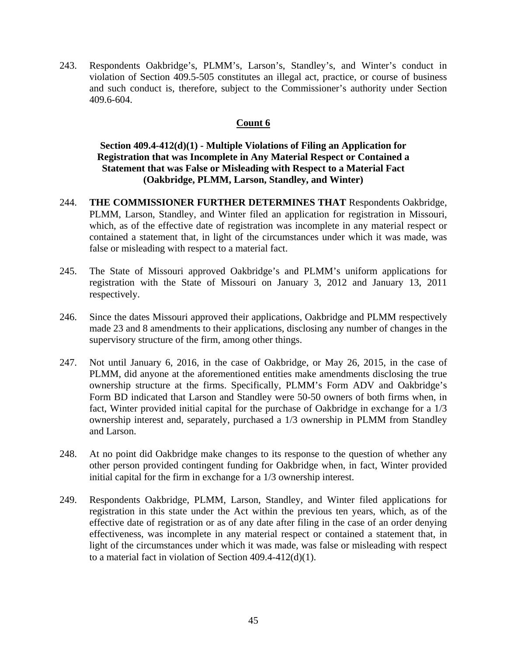243. Respondents Oakbridge's, PLMM's, Larson's, Standley's, and Winter's conduct in violation of Section 409.5-505 constitutes an illegal act, practice, or course of business and such conduct is, therefore, subject to the Commissioner's authority under Section 409.6-604.

## **Count 6**

## **Section 409.4-412(d)(1) - Multiple Violations of Filing an Application for Registration that was Incomplete in Any Material Respect or Contained a Statement that was False or Misleading with Respect to a Material Fact (Oakbridge, PLMM, Larson, Standley, and Winter)**

- 244. **THE COMMISSIONER FURTHER DETERMINES THAT** Respondents Oakbridge, PLMM, Larson, Standley, and Winter filed an application for registration in Missouri, which, as of the effective date of registration was incomplete in any material respect or contained a statement that, in light of the circumstances under which it was made, was false or misleading with respect to a material fact.
- 245. The State of Missouri approved Oakbridge's and PLMM's uniform applications for registration with the State of Missouri on January 3, 2012 and January 13, 2011 respectively.
- 246. Since the dates Missouri approved their applications, Oakbridge and PLMM respectively made 23 and 8 amendments to their applications, disclosing any number of changes in the supervisory structure of the firm, among other things.
- 247. Not until January 6, 2016, in the case of Oakbridge, or May 26, 2015, in the case of PLMM, did anyone at the aforementioned entities make amendments disclosing the true ownership structure at the firms. Specifically, PLMM's Form ADV and Oakbridge's Form BD indicated that Larson and Standley were 50-50 owners of both firms when, in fact, Winter provided initial capital for the purchase of Oakbridge in exchange for a 1/3 ownership interest and, separately, purchased a 1/3 ownership in PLMM from Standley and Larson.
- 248. At no point did Oakbridge make changes to its response to the question of whether any other person provided contingent funding for Oakbridge when, in fact, Winter provided initial capital for the firm in exchange for a 1/3 ownership interest.
- 249. Respondents Oakbridge, PLMM, Larson, Standley, and Winter filed applications for registration in this state under the Act within the previous ten years, which, as of the effective date of registration or as of any date after filing in the case of an order denying effectiveness, was incomplete in any material respect or contained a statement that, in light of the circumstances under which it was made, was false or misleading with respect to a material fact in violation of Section 409.4-412(d)(1).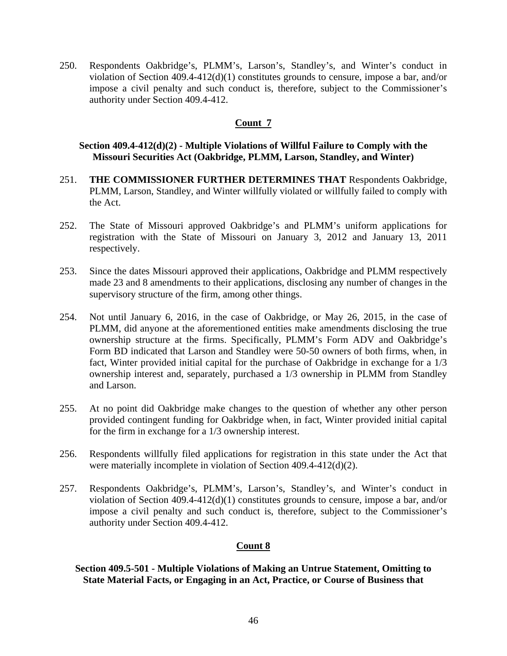250. Respondents Oakbridge's, PLMM's, Larson's, Standley's, and Winter's conduct in violation of Section 409.4-412(d)(1) constitutes grounds to censure, impose a bar, and/or impose a civil penalty and such conduct is, therefore, subject to the Commissioner's authority under Section 409.4-412.

## **Count 7**

### **Section 409.4-412(d)(2) - Multiple Violations of Willful Failure to Comply with the Missouri Securities Act (Oakbridge, PLMM, Larson, Standley, and Winter)**

- 251. **THE COMMISSIONER FURTHER DETERMINES THAT** Respondents Oakbridge, PLMM, Larson, Standley, and Winter willfully violated or willfully failed to comply with the Act.
- 252. The State of Missouri approved Oakbridge's and PLMM's uniform applications for registration with the State of Missouri on January 3, 2012 and January 13, 2011 respectively.
- 253. Since the dates Missouri approved their applications, Oakbridge and PLMM respectively made 23 and 8 amendments to their applications, disclosing any number of changes in the supervisory structure of the firm, among other things.
- 254. Not until January 6, 2016, in the case of Oakbridge, or May 26, 2015, in the case of PLMM, did anyone at the aforementioned entities make amendments disclosing the true ownership structure at the firms. Specifically, PLMM's Form ADV and Oakbridge's Form BD indicated that Larson and Standley were 50-50 owners of both firms, when, in fact, Winter provided initial capital for the purchase of Oakbridge in exchange for a 1/3 ownership interest and, separately, purchased a 1/3 ownership in PLMM from Standley and Larson.
- 255. At no point did Oakbridge make changes to the question of whether any other person provided contingent funding for Oakbridge when, in fact, Winter provided initial capital for the firm in exchange for a 1/3 ownership interest.
- 256. Respondents willfully filed applications for registration in this state under the Act that were materially incomplete in violation of Section 409.4-412(d)(2).
- 257. Respondents Oakbridge's, PLMM's, Larson's, Standley's, and Winter's conduct in violation of Section 409.4-412(d)(1) constitutes grounds to censure, impose a bar, and/or impose a civil penalty and such conduct is, therefore, subject to the Commissioner's authority under Section 409.4-412.

## **Count 8**

## **Section 409.5-501 - Multiple Violations of Making an Untrue Statement, Omitting to State Material Facts, or Engaging in an Act, Practice, or Course of Business that**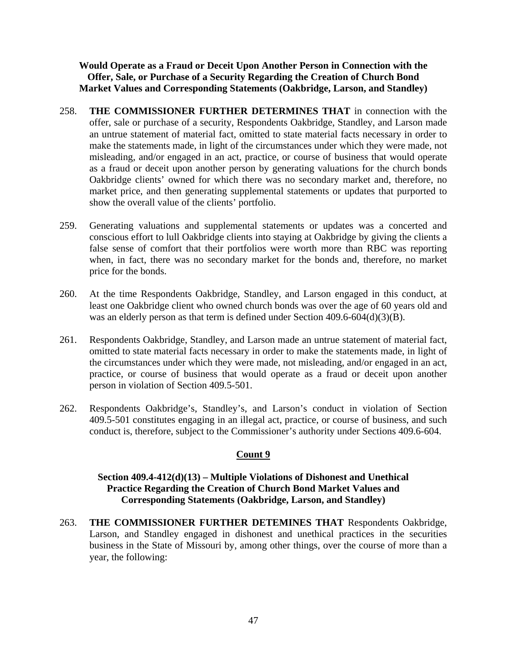**Would Operate as a Fraud or Deceit Upon Another Person in Connection with the Offer, Sale, or Purchase of a Security Regarding the Creation of Church Bond Market Values and Corresponding Statements (Oakbridge, Larson, and Standley)** 

- 258. **THE COMMISSIONER FURTHER DETERMINES THAT** in connection with the offer, sale or purchase of a security, Respondents Oakbridge, Standley, and Larson made an untrue statement of material fact, omitted to state material facts necessary in order to make the statements made, in light of the circumstances under which they were made, not misleading, and/or engaged in an act, practice, or course of business that would operate as a fraud or deceit upon another person by generating valuations for the church bonds Oakbridge clients' owned for which there was no secondary market and, therefore, no market price, and then generating supplemental statements or updates that purported to show the overall value of the clients' portfolio.
- 259. Generating valuations and supplemental statements or updates was a concerted and conscious effort to lull Oakbridge clients into staying at Oakbridge by giving the clients a false sense of comfort that their portfolios were worth more than RBC was reporting when, in fact, there was no secondary market for the bonds and, therefore, no market price for the bonds.
- 260. At the time Respondents Oakbridge, Standley, and Larson engaged in this conduct, at least one Oakbridge client who owned church bonds was over the age of 60 years old and was an elderly person as that term is defined under Section  $409.6-604(d)(3)(B)$ .
- 261. Respondents Oakbridge, Standley, and Larson made an untrue statement of material fact, omitted to state material facts necessary in order to make the statements made, in light of the circumstances under which they were made, not misleading, and/or engaged in an act, practice, or course of business that would operate as a fraud or deceit upon another person in violation of Section 409.5-501.
- 262. Respondents Oakbridge's, Standley's, and Larson's conduct in violation of Section 409.5-501 constitutes engaging in an illegal act, practice, or course of business, and such conduct is, therefore, subject to the Commissioner's authority under Sections 409.6-604.

## **Count 9**

## **Section 409.4-412(d)(13) – Multiple Violations of Dishonest and Unethical Practice Regarding the Creation of Church Bond Market Values and Corresponding Statements (Oakbridge, Larson, and Standley)**

263. **THE COMMISSIONER FURTHER DETEMINES THAT** Respondents Oakbridge, Larson, and Standley engaged in dishonest and unethical practices in the securities business in the State of Missouri by, among other things, over the course of more than a year, the following: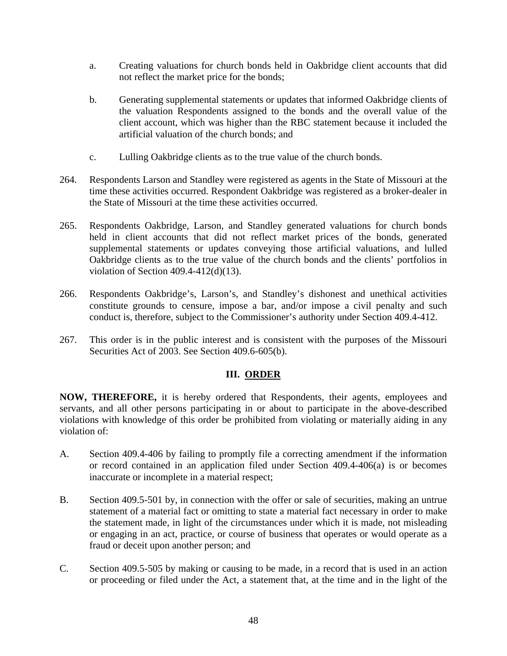- a. Creating valuations for church bonds held in Oakbridge client accounts that did not reflect the market price for the bonds;
- b. Generating supplemental statements or updates that informed Oakbridge clients of the valuation Respondents assigned to the bonds and the overall value of the client account, which was higher than the RBC statement because it included the artificial valuation of the church bonds; and
- c. Lulling Oakbridge clients as to the true value of the church bonds.
- 264. Respondents Larson and Standley were registered as agents in the State of Missouri at the time these activities occurred. Respondent Oakbridge was registered as a broker-dealer in the State of Missouri at the time these activities occurred.
- 265. Respondents Oakbridge, Larson, and Standley generated valuations for church bonds held in client accounts that did not reflect market prices of the bonds, generated supplemental statements or updates conveying those artificial valuations, and lulled Oakbridge clients as to the true value of the church bonds and the clients' portfolios in violation of Section 409.4-412(d)(13).
- 266. Respondents Oakbridge's, Larson's, and Standley's dishonest and unethical activities constitute grounds to censure, impose a bar, and/or impose a civil penalty and such conduct is, therefore, subject to the Commissioner's authority under Section 409.4-412.
- 267. This order is in the public interest and is consistent with the purposes of the Missouri Securities Act of 2003. See Section 409.6-605(b).

## **III. ORDER**

**NOW, THEREFORE,** it is hereby ordered that Respondents, their agents, employees and servants, and all other persons participating in or about to participate in the above-described violations with knowledge of this order be prohibited from violating or materially aiding in any violation of:

- A. Section 409.4-406 by failing to promptly file a correcting amendment if the information or record contained in an application filed under Section 409.4-406(a) is or becomes inaccurate or incomplete in a material respect;
- B. Section 409.5-501 by, in connection with the offer or sale of securities, making an untrue statement of a material fact or omitting to state a material fact necessary in order to make the statement made, in light of the circumstances under which it is made, not misleading or engaging in an act, practice, or course of business that operates or would operate as a fraud or deceit upon another person; and
- C. Section 409.5-505 by making or causing to be made, in a record that is used in an action or proceeding or filed under the Act, a statement that, at the time and in the light of the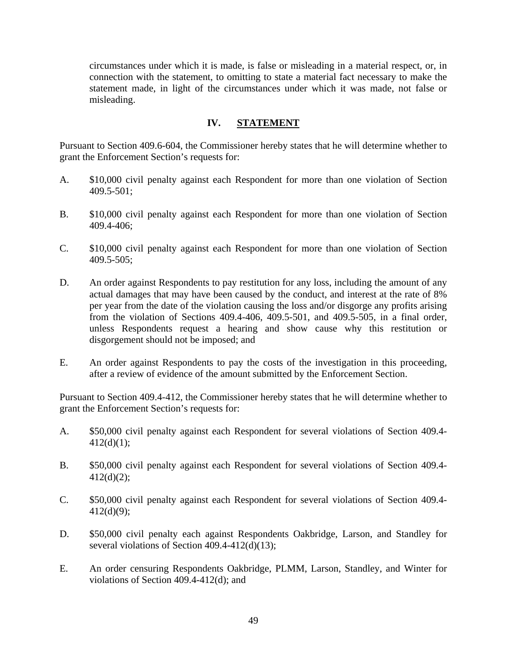circumstances under which it is made, is false or misleading in a material respect, or, in connection with the statement, to omitting to state a material fact necessary to make the statement made, in light of the circumstances under which it was made, not false or misleading.

## **IV. STATEMENT**

Pursuant to Section 409.6-604, the Commissioner hereby states that he will determine whether to grant the Enforcement Section's requests for:

- A. \$10,000 civil penalty against each Respondent for more than one violation of Section 409.5-501;
- B. \$10,000 civil penalty against each Respondent for more than one violation of Section 409.4-406;
- C. \$10,000 civil penalty against each Respondent for more than one violation of Section 409.5-505;
- D. An order against Respondents to pay restitution for any loss, including the amount of any actual damages that may have been caused by the conduct, and interest at the rate of 8% per year from the date of the violation causing the loss and/or disgorge any profits arising from the violation of Sections 409.4-406, 409.5-501, and 409.5-505, in a final order, unless Respondents request a hearing and show cause why this restitution or disgorgement should not be imposed; and
- E. An order against Respondents to pay the costs of the investigation in this proceeding, after a review of evidence of the amount submitted by the Enforcement Section.

Pursuant to Section 409.4-412, the Commissioner hereby states that he will determine whether to grant the Enforcement Section's requests for:

- A. \$50,000 civil penalty against each Respondent for several violations of Section 409.4-  $412(d)(1);$
- B. \$50,000 civil penalty against each Respondent for several violations of Section 409.4-  $412(d)(2);$
- C. \$50,000 civil penalty against each Respondent for several violations of Section 409.4-  $412(d)(9)$ ;
- D. \$50,000 civil penalty each against Respondents Oakbridge, Larson, and Standley for several violations of Section 409.4-412(d)(13);
- E. An order censuring Respondents Oakbridge, PLMM, Larson, Standley, and Winter for violations of Section 409.4-412(d); and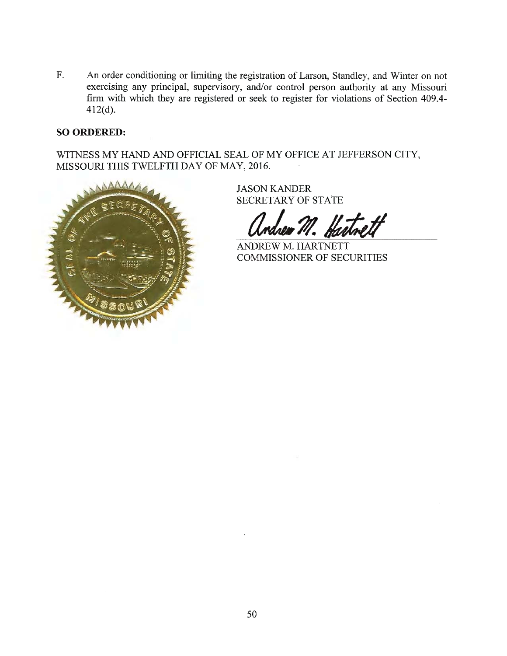$\overline{F}$ . An order conditioning or limiting the registration of Larson, Standley, and Winter on not exercising any principal, supervisory, and/or control person authority at any Missouri firm with which they are registered or seek to register for violations of Section 409.4- $412(d)$ .

#### **SO ORDERED:**

WITNESS MY HAND AND OFFICIAL SEAL OF MY OFFICE AT JEFFERSON CITY, MISSOURI THIS TWELFTH DAY OF MAY, 2016.



**JASON KANDER SECRETARY OF STATE** 

drea M. Hartnett

ANDREW M. HARTNETT **COMMISSIONER OF SECURITIES**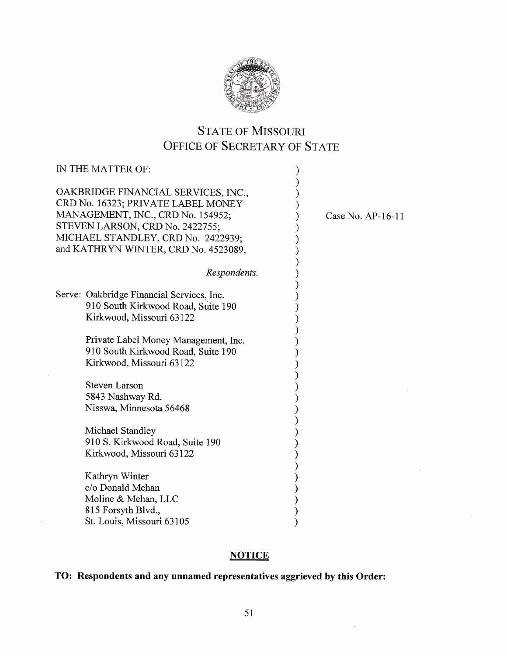

# **STATE OF MISSOURI** OFFICE OF SECRETARY OF STATE

| IN THE MATTER OF:                                                                                                                                                                                                               |                   |
|---------------------------------------------------------------------------------------------------------------------------------------------------------------------------------------------------------------------------------|-------------------|
| OAKBRIDGE FINANCIAL SERVICES, INC.,<br>CRD No. 16323; PRIVATE LABEL MONEY<br>MANAGEMENT, INC., CRD No. 154952;<br>STEVEN LARSON, CRD No. 2422755;<br>MICHAEL STANDLEY, CRD No. 2422939;<br>and KATHRYN WINTER, CRD No. 4523089, | Case No. AP-16-11 |
| Respondents.                                                                                                                                                                                                                    |                   |
| Serve: Oakbridge Financial Services, Inc.<br>910 South Kirkwood Road, Suite 190<br>Kirkwood, Missouri 63122                                                                                                                     |                   |
| Private Label Money Management, Inc.<br>910 South Kirkwood Road, Suite 190<br>Kirkwood, Missouri 63122                                                                                                                          |                   |
| <b>Steven Larson</b><br>5843 Nashway Rd.<br>Nisswa, Minnesota 56468                                                                                                                                                             |                   |
| Michael Standley<br>910 S. Kirkwood Road, Suite 190<br>Kirkwood, Missouri 63122                                                                                                                                                 |                   |
| Kathryn Winter<br>c/o Donald Mehan<br>Moline & Mehan, LLC<br>815 Forsyth Blvd.,<br>St. Louis, Missouri 63105                                                                                                                    |                   |

## **NOTICE**

# TO: Respondents and any unnamed representatives aggrieved by this Order: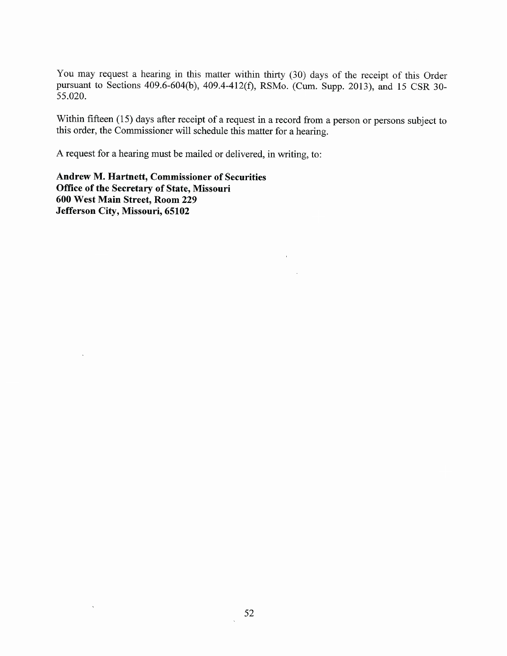You may request a hearing in this matter within thirty (30) days of the receipt of this Order pursuant to Sections 409.6-604(b), 409.4-412(f), RSMo. (Cum. Supp. 2013), and 15 CSR 30-55.020.

Within fifteen (15) days after receipt of a request in a record from a person or persons subject to this order, the Commissioner will schedule this matter for a hearing.

 $\bar{1}$ 

 $\sim$   $\sim$ 

A request for a hearing must be mailed or delivered, in writing, to:

Andrew M. Hartnett, Commissioner of Securities Office of the Secretary of State, Missouri 600 West Main Street, Room 229 Jefferson City, Missouri, 65102

 $\bar{\mathbf{v}}$